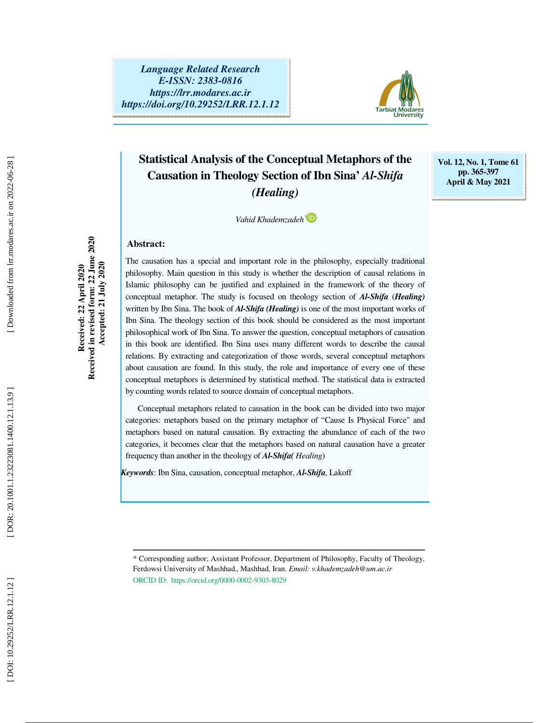

**Vol. 12, No. 1, Tome 61 pp. 365-397 April & May 2021** 

### **Statistical Analysis of the Conceptual Metaphors of the Causation in Theology Section of Ibn Sina'** *Al-Shifa (Healing)*

*Vahid Khademzadeh* \*

#### **Abstract:**

The causation has a special and important role in the philosophy, especially traditional philosophy. Main question in this study is whether the description of causal relations in Islamic philosophy can be justified and explained in the framework of the theory of conceptual metaphor. The study is focused on theology section of *Al-Shifa* (*Healing)* written by Ibn Sina. The book of *Al-Shifa (Healing)* is one of the most important works of Ibn Sina. The theology section of this book should be considered as the most important philosophical work of Ibn Sina. To answer the question, conceptual metaphors of causation in this book are identified. Ibn Sina uses many different words to describe the causal relations. By extracting and categorization of those words, several conceptual metaphors about causation are found. In this study, the role and importance of every one of these conceptual metaphors is determined by statistical method. The statistical data is extracted by counting words related to source domain of conceptual metaphors.

Conceptual metaphors related to causation in the book can be divided into two major categories: metaphors based on the primary metaphor of "Cause Is Physical Force" and metaphors based on natural causation. By extracting the abundance of each of the two categories, it becomes clear that the metaphors based on natural causation have a greater frequency than another in the theology of *Al-Shifa( Healing*)

*Keywords*: Ibn Sina, causation, conceptual metaphor, *Al-Shifa*, Lakoff

\* Corresponding author; Assistant Professor, Department of Philosophy, Faculty of Theology, Ferdowsi University of Mashhad, Mashhad, Iran. *Email: v.khademzadeh@um.ac.ir* ORCID ID: https://orcid.org/0000-0002-9303-8029

ــــــــــــــــــــــــــــــــــــــــــــــــــــــــــــــــــــــــــــــــــــــــــــــــــــــــــــــــــــــــــــــــــــــــــ

**Received: 22 April 2020 Received in revised form: 22 June 2020 Accepted: 21 July 2020** 

Received: 22 April 2020

Received in revised form: 22 June 2020 Accepted: 21 July 2020

Downloaded from lrr.modares.ac.ir on 2022-06-28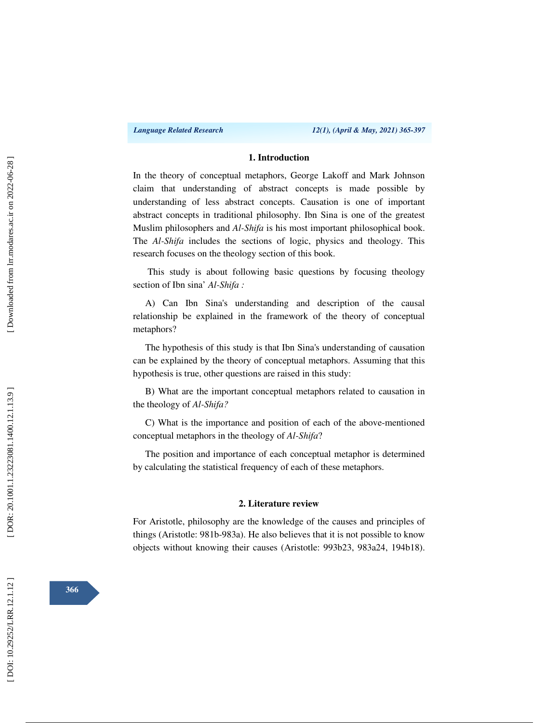#### **1. Introduction**

In the theory of conceptual metaphors, George Lakoff and Mark Johnson claim that understanding of abstract concepts is made possible by understanding of less abstract concepts. Causation is one of important abstract concepts in traditional philosophy. Ibn Sina is one of the greatest Muslim philosophers and *Al-Shifa* is his most important philosophical book. The *Al-Shifa* includes the sections of logic, physics and theology. This research focuses on the theology section of this book.

 This study is about following basic questions by focusing theology section of Ibn sina' *Al-Shifa :* 

A) Can Ibn Sina's understanding and description of the causal relationship be explained in the framework of the theory of conceptual metaphors?

The hypothesis of this study is that Ibn Sina's understanding of causation can be explained by the theory of conceptual metaphors. Assuming that this hypothesis is true, other questions are raised in this study:

B) What are the important conceptual metaphors related to causation in the theology of *Al-Shifa?*

C) What is the importance and position of each of the above-mentioned conceptual metaphors in the theology of *Al-Shifa*?

The position and importance of each conceptual metaphor is determined by calculating the statistical frequency of each of these metaphors.

#### **2. Literature review**

For Aristotle, philosophy are the knowledge of the causes and principles of things (Aristotle: 981b-983a). He also believes that it is not possible to know objects without knowing their causes (Aristotle: 993b23, 983a24, 194b18).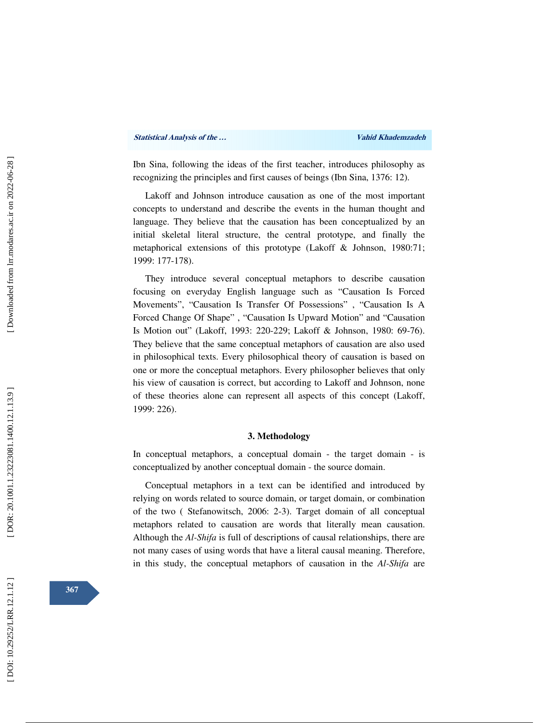Ibn Sina, following the ideas of the first teacher, introduces philosophy as recognizing the principles and first causes of beings (Ibn Sina, 1376: 12).

Lakoff and Johnson introduce causation as one of the most important concepts to understand and describe the events in the human thought and language. They believe that the causation has been conceptualized by an initial skeletal literal structure, the central prototype, and finally the metaphorical extensions of this prototype (Lakoff & Johnson, 1980:71; 1999: 177 -178).

They introduce several conceptual metaphors to describe causation focusing on everyday English language such as "Causation Is Forced Movements", "Causation Is Transfer Of Possessions" , "Causation Is A Forced Change Of Shape" , "Causation Is Upward Motion" and "Causation Is Motion out" (Lakoff, 1993: 220-229; Lakoff & Johnson, 1980: 69-76). They believe that the same conceptual metaphors of causation are also used in philosophical texts. Every philosophical theory of causation is based on one or more the conceptual metaphors. Every philosopher believes that only his view of causation is correct, but according to Lakoff and Johnson, none of these theories alone can represent all aspects of this concept (Lakoff, 1999: 226).

#### **3. Methodology**

In conceptual metaphors, a conceptual domain - the target domain - is conceptualized by another conceptual domain - the source domain.

Conceptual metaphors in a text can be identified and introduced by relying on words related to source domain, or target domain, or combination of the two (Stefanowitsch, 2006: 2-3). Target domain of all conceptual metaphors related to causation are words that literally mean causation. Although the *Al-Shifa* is full of descriptions of causal relationships, there are not many cases of using words that have a literal causal meaning. Therefore, in this study, the conceptual metaphors of causation in the *Al-Shifa* are

**367**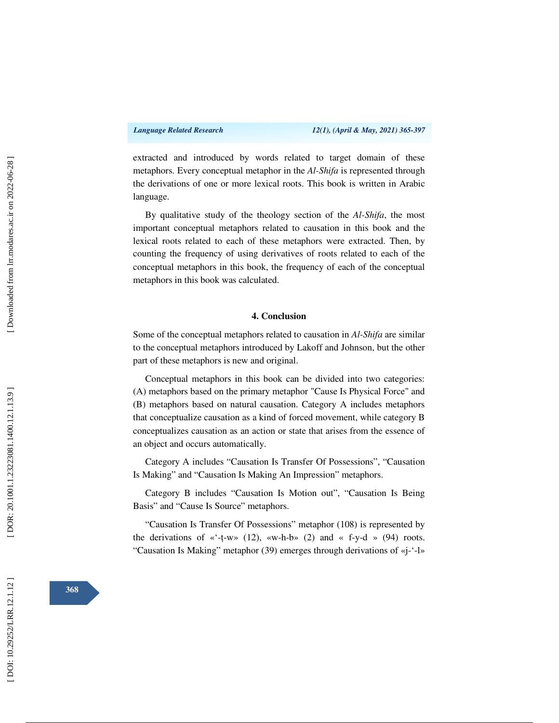extracted and introduced by words related to target domain of these metaphors. Every conceptual metaphor in the *Al-Shifa* is represented through the derivations of one or more lexical roots. This book is written in Arabic language.

By qualitative study of the theology section of the *Al-Shifa*, the most important conceptual metaphors related to causation in this book and the lexical roots related to each of these metaphors were extracted. Then, by counting the frequency of using derivatives of roots related to each of the conceptual metaphors in this book, the frequency of each of the conceptual metaphors in this book was calculated.

#### **4. Conclusion**

Some of the conceptual metaphors related to causation in *Al-Shifa* are similar to the conceptual metaphors introduced by Lakoff and Johnson, but the other part of these metaphors is new and original.

Conceptual metaphors in this book can be divided into two categories: (A) metaphors based on the primary metaphor "Cause Is Physical Force" and (B) metaphors based on natural causation. Category A includes metaphors that conceptualize causation as a kind of forced movement, while category B conceptualizes causation as an action or state that arises from the essence of an object and occurs automatically.

Category A includes "Causation Is Transfer Of Possessions", "Causation Is Making" and "Causation Is Making An Impression" metaphors.

Category B includes "Causation Is Motion out", "Causation Is Being Basis" and "Cause Is Source" metaphors.

"Causation Is Transfer Of Possessions" metaphor (108) is represented by the derivations of «'-t-w» (12), «w-h-b» (2) and « f-y-d » (94) roots. "Causation Is Making" metaphor (39) emerges through derivations of «j-'-l»

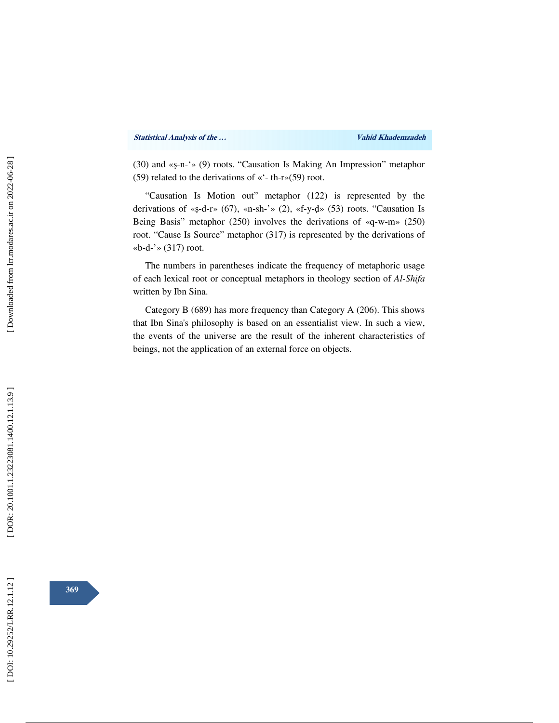(30) and « ṣ-n-'» (9) roots. "Causation Is Making An Impression" metaphor (59) related to the derivations of «'- th-r»(59) root.

"Causation Is Motion out" metaphor (122) is represented by the derivations of « ṣ-d-r» (67), «n-sh-'» (2), «f-y-ḍ» (53) roots. "Causation Is Being Basis" metaphor (250) involves the derivations of «q-w-m» (250) root. "Cause Is Source" metaphor (317) is represented by the derivations of «b-d-'» (317) root.

The numbers in parentheses indicate the frequency of metaphoric usage of each lexical root or conceptual metaphors in theology section of *Al-Shifa*  written by Ibn Sina.

Category B (689) has more frequency than Category A (206). This shows that Ibn Sina's philosophy is based on an essentialist view. In such a view, the events of the universe are the result of the inherent characteristics of beings, not the application of an external force on objects.

**369**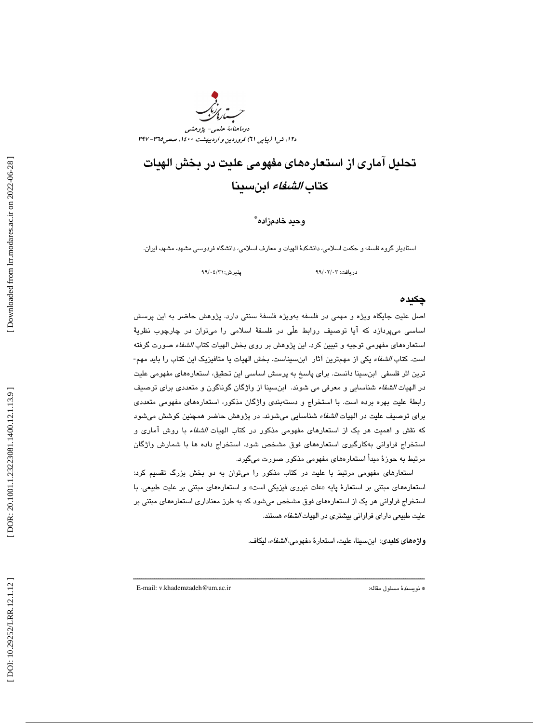

## تحليل آماري از استعارههاي مفهومي عليت در بخش الهيات كتاب الشفاء ابنسينا

#### وحيد خادمزاده \*

استاديار گروه فلسفه و حكمت اسلامي، دانشكدة الهيات و معارف اسلامي، دانشگاه فردوسي مشهد ، مشهد، ايران.

پذیرش:۶/۳۱/ ۹۹/۰

دريافت: 03/ 02/ 99 پذيرش: 31/ /04

#### چكيده

اصل عليت جايگاه ويژه و مهمي در فلسفه بهويژه فلسفة سنتي دارد. پژوهش حاضر به اين پرسش اساسي ميپردازد كه آيا توصيف روابط علّي در فلسفة اسلامي را ميتوان در چارچوب نظرية استعارههاي مفهومي توجيه و تبيين كرد. اين پژوهش بر روي بخش الهيات كتاب الشفاء صورت گرفته است. كتاب الشفاء يكي از مهمترين آثار ابنسيناست. بخش الهيات يا متافيزيك اين كتاب را بايد مهم- ترين اثر فلسفي ابنسينا دانست. براي پاسخ به پرسش اساسي اين تحقيق، استعارههاي مفهومي عليت در الهيات الشفاء شناسايي و معرفي مي شوند. ابنسينا از واژگان گوناگون و متعددي براي توصيف رابطة عليت بهره برده است. با استخراج و دستهبندي واژگان مذكور، استعارههاي مفهومي متعددي برای توصيف عليت در الهيات *الشفاء* شناسايي ميشوند. در پژوهش حاضر همچنين كوشش ميشود كه نقش و اهميت هر يك از استعارهاي مفهومي مذكور در كتاب الهيات الشفاء با روش آماري و استخراج فراواني بهكارگيري استعارههاي فوق مشخص شود. استخراج داده ها با شمارش واژگان مرتبط به حوزة مبدأ استعارههاي مفهومي مذكور صورت ميگيرد.

استعارهاي مفهومي مرتبط با عليت در كتاب مذكور را ميتوان به دو بخش بزرگ تقسيم كرد: استعارههاي مبتني بر استعارهٔ پايه «علت نيروي فيزيكي است» و استعارههاي مبتني بر عليت طبيعي. با استخراج فراواني هر يك از استعارههاي فوق مشخص ميشود كه به طرز معناداري استعارههاي مبتني بر عليت طبيعي داراي فراواني بيشتري در الهيات الشفاء هستند.

ــــــــــــــــــــــــــــــــــــــــــــــــــــــــــــــــــــــــــــــــــــــــــــــــــــــــــــــــــــــــــــــــــــــــــ

واژههاي كليدي: ابنسينا، عليت، استعارة مفهومي، الشفاء، ليكاف.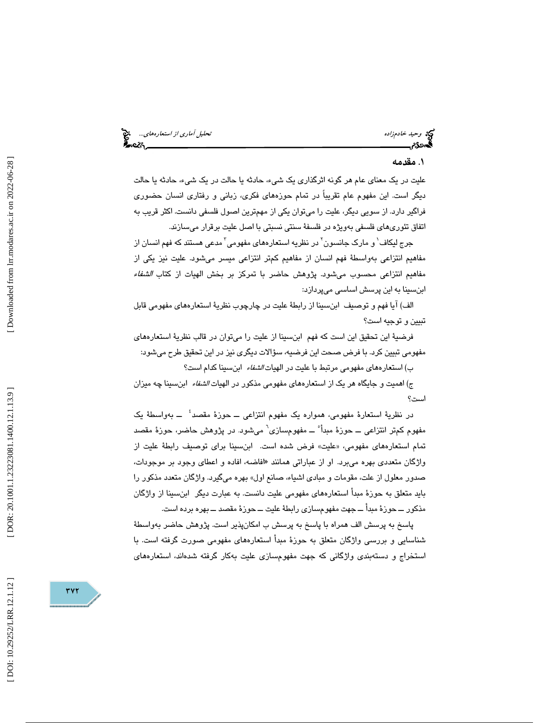وحيد خادم زاده تحليل آماري *از استعارههاي...*... وحيد خادم زاده تحليل آماري *از استعارههاي...*... وحيد المتحدة<br>**تحمد دين المتحدة المتحدة المتحدة المتحدة المتحدة المتحدة المتحدة المتحدة المتحدة المتحدة المتحدة المتحدة المت** 

#### . مقدمه 1

عليت در يك معناي عام هر گونه اثرگذاري يك شيء، حادثه يا حالت در يك شيء، حادثه يا حالت ديگر است. اين مفهوم عام تقريباً در تمام حوزههاي فكري، زباني و رفتاري انسان حضوري فراگير دارد. از سويي ديگر، عليت را ميتوان يكي از مهمترين اصول فلسفي دانست. اكثر قريب به اتفاق تئوريهاي فلسفي بهويژه در فلسفة سنتي نسبتي با اصل عليت برقرار ميسازند.

جرج لیکاف<sup>\</sup> و مارک جانسون<sup>۲</sup> در نظریه استعارههای مفهومی<sup>۳</sup> مدعی هستند که فهم انسان از مفاهيم انتزاعي بهواسطة فهم انسان از مفاهيم كمتر انتزاعي ميسر ميشود. عليت نيز يكي از مفاهيم انتزاعي محسوب ميشود. پژوهش حاضر با تمركز بر بخش الهيات از كتاب *الشفاء* ابنسينا به اين پرسش اساسي ميپردازد:

الف) آيا فهم و توصيف ابنسينا از رابطة عليت در چارچوب نظرية استعارههاي مفهومي قابل تبيين و توجيه است؟

فرضية اين تحقيق اين است كه فهم ابنسينا از عليت را ميتوان در قالب نظرية استعارههاي مفهومي تبيين كرد. با فرض صحت اين فرضيه، سؤالات ديگري نيز در اين تحقيق طرح ميشود:

ب) استعارههاي مفهومي مرتبط با عليت در الهيات *الشفاء* ابن سينا كدام است؟

ج) اهميت و جايگاه هر يك از استعارههاي مفهومي مذكور در الهيات الشفاء ابنسينا چه ميزان است؟

ر نظرية استعارة مفهومي، همواره يك مفهوم انتزاعي ــ حوزة مقصد د 4 ــ بهواسطة يك مفهوم كمتر انتزاعي ـــ حوزهٔ مبدأ° ـــ مفهومسازي` ميشود. در پژوهش حاضر، حوزهٔ مقصد تمام استعارههاي مفهومي، «عليت» فرض شده است. ابنسينا براي توصيف رابطةً عليت از واژگان متعددي بهره ميبرد. او از عباراتي همانند « افاضه، افاده و اعطاي وجود بر موجودات، صدور معلول از علت، مقومات و مبادي اشياء، صانع اول» بهره ميگيرد. واژگان متعدد مذكور را بايد متعلق به حوزة مبدأ استعارههاي مفهومي عليت دانست. به عبارت ديگر ابنسينا از واژگان مذكور ــ حوزة مبدأ ــ جهت مفهومسازي رابطة عليت ــ حوزة مقصد ــ بهره برده است.

پاسخ به پرسش الف همراه با پاسخ به پرسش ب امكانپذير است. پژوهش حاضر بهواسطة شناسايي و بررسي واژگان متعلق به حوزة مبدأ استعارههاي مفهومي صورت گرفته است. با استخراج و دستهبندي واژگاني كه جهت مفهومسازي عليت بهكار گرفته شدهاند، استعارههاي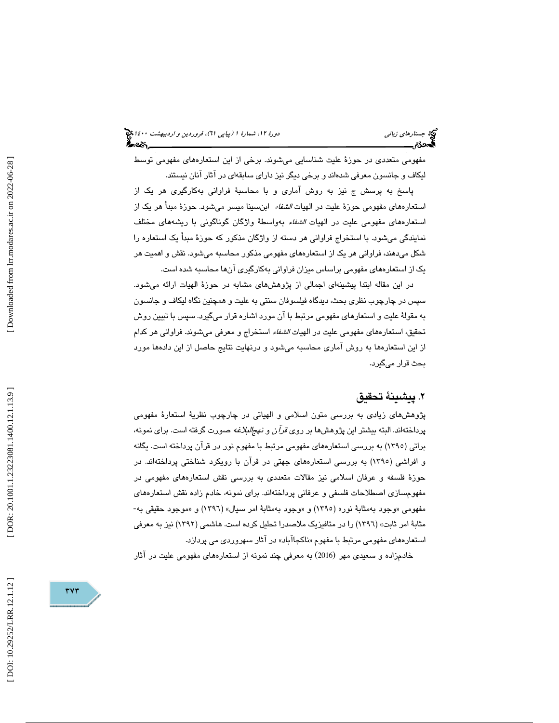(پياپي 61)، فروردين و ارديبهشت 1400 جستارهاي زباني دورة ،12 شمارة 1

مفهومي متعددي در حوزة عليت شناسايي ميشوند. برخي از اين استعارههاي مفهومي توسط ليكاف و جانسون معرفي شدهاند و برخي ديگر نيز داراي سابقهاي در آثار آنان نيستند.

پاسخ به پرسش ج نيز به روش آماري و با محاسبة فراواني بهكارگيري هر يك از استعارههاي مفهومي حوزة عليت در الهيات *الشفاء* ابنسينا ميسر ميشود. حوزة مبدأ هر يک از استعارههاي مفهومي عليت در الهيات الشفاء بهواسطة واژگان گوناگوني با ريشههاي مختلف نمايندگي ميشود. با استخراج فراواني هر دسته از واژگان مذكور كه حوزة مبدأ يك استعاره را شكل ميدهند، فراواني هر يك از استعارههاي مفهومي مذكور محاسبه ميشود. نقش و اهميت هر يك از استعارههاي مفهومي براساس ميزان فراواني بهكارگيري آنها محاسبه شده است.

در اين مقاله ابتدا پيشينهاي اجمالي از پژوهشهاي مشابه در حوزة الهيات ارائه ميشود. سپس در چارچوب نظري بحث، ديدگاه فيلسوفان سنتي به عليت و همچنين نگاه ليكاف و جانسون به مقولة عليت و استعارهاي مفهومي مرتبط با آن مورد اشاره قرار ميگيرد. سپس با تبيين روش تحقيق، استعارههاي مفهومي عليت در الهيات الشفاء استخراج و معرفي ميشوند. فراواني هر كدام از اين استعارهها به روش آماري محاسبه ميشود و درنهايت نتايج حاصل از اين دادهها مورد بحث قرار ميگيرد.

#### . پيشينة تحقيق 2

پژوهشهاي زيادي به بررسي متون اسلامي و الهياتي در چارچوب نظرية استعارة مفهومي پرداختهاند. البته بیشتر این پژوهشها بر روی *قرآن و نهجالبلاغه* صورت گرفته است. برای نمونه، براتي( 1395 ) به بررسي استعارههاي مفهومي مرتبط با مفهوم نور در قرآن پرداخته است. يگانه و افراشي( 1395 ) به بررسي استعارههاي جهتي در قرآن با رويكرد شناختي پرداختهاند. در حوزة فلسفه و عرفان اسلامي نيز مقالات متعددي به بررسي نقش استعارههاي مفهومي در مفهومسازي اصطلاحات فلسفي و عرفاني پرداختهاند. براي نمونه، خادم زاده نقش استعارههاي مفهومي «وجود بهمثابة نور» (١٣٩٥) و «وجود بهمثابة امر سيال» (١٣٩٦) و «موجود حقيقي به-مثابهٔ امر ثابت» (١٣٩٦) را در متافيزيک ملاصدرا تحليل کرده است. هاشمي (١٣٩٢) نيز به معرفي استعارههاي مفهومي مرتبط با مفهوم «ناكجاآباد» در آثار سهروردي مي پردازد.

خادمزاده و سعيدي مهر (2016) به معرفي چند نمونه از استعارههاي مفهومي عليت در آثار

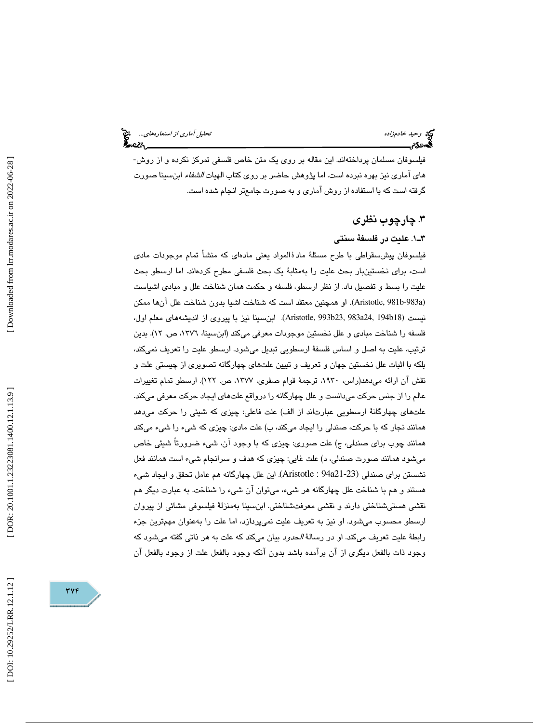فيلسوفان مسلمان پرداختهاند. اين مقاله بر روي يك متن خاص فلسفي تمركز نكرده و از روش- هاي آماري نيز بهره نبرده است. اما پژوهش حاضر بر روي كتاب الهيات *الشفاء* ابنسينا صورت گرفته است كه با استفاده از روش آماري و به صورت جامعتر انجام شده است.

#### .3 چارچوب نظري

#### 1ـ3 . عليت در فلسفة سنتي

فيلسوفان پيش $سقراطي با طرح مسئلهٔ مادۀالمواد يعني مادهاي كه منشأ تمام موجودات مادي$ است، براي نخستينبار بحث عليت را بهمثابة يك بحث فلسفي مطرح كردهاند. اما ارسطو بحث عليت را بسط و تفصيل داد. از نظر ارسطو، فلسفه و حكمت همان شناخت علل و مبادي اشياست (Aristotle, 981b-983a). او همچنين معتقد است كه شناخت اشيا بدون شناخت علل آنها ممكن نيست (Aristotle, 993b23, 983a24, 194b18). ابنwسينا نيز با پيروي از انديشههاي معلم اول، فلسفه را شناخت مبادي و علل نخستين موجودات معرفي ميكند (ابنسينا، ،1376 ص. )12 . بدين ترتيب، عليت به اصل و اساس فلسفة ارسطويي تبديل ميشود. ارسطو عليت را تعريف نميكند، بلكه با اثبات علل نخستين جهان و تعريف و تبيين علتهاي چهارگانه تصويري از چيستي علت و نقش آن ارائه مي دهد(راس، ١٩٣٠، ترجمهٔ قوام صفري، ١٣٧٧، ص. ١٢٢). ارسطو تمام تغييرات عالم را از جنس حركت ميدانست و علل چهارگانه را درواقع علتهاي ايجاد حركت معرفي ميكند. علتهاي چهارگانة ارسطويي عبارتاند از الف) علت فاعلي: چيزي كه شيئي را حركت ميدهد همانند نجار كه با حركت، صندلي را ايجاد ميكند، ب) علت مادي: چيزي كه شيء را شيء ميكند همانند چوب براي صندلي، ج) علت صوري: چيزي كه با وجود آن، شيء ضرورتاً شيئي خاص ميشود همانند صورت صندلي، د) علت غايي: چيزي كه هدف و سرانجام شيء است همانند فعل ( نشستن براي صندلي ) 21-23a94 : Aristotle . اين علل چهارگانه هم عامل تحقق و ايجاد شيء هستند و هم با شناخت علل چهارگانه هر شيء، ميتوان آن شيء را شناخت. به عبارت ديگر هم نقشي هستيشناختي دارند و نقشي معرفتشناختي. ابنسينا بهمنزلة فيلسوفي مشائي از پيروان ارسطو محسوب ميشود. او نيز به تعريف عليت نميپردازد، اما علت را بهعنوان مهمترين جزء رابطهٔ علیت تعریف میكند. او در رسالهٔ *الحدود* بیان میكند كه علت به هر ذاتی گفته میشود كه وجود ذات بالفعل ديگري از آن برآمده باشد بدون آنكه وجود بالفعل علت از وجود بالفعل آن

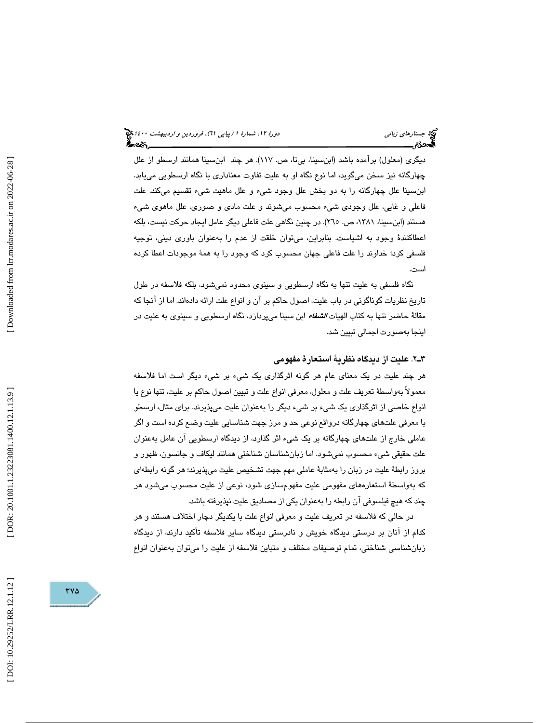### (پياپي 61)، فروردين و ارديبهشت 1400 جستارهاي زباني دورة ،12 شمارة 1

ديگري (معلول) برآمده باشد (ابنسينا، بي¤، ص. ١١٧). هر چند ابنسينا همانند ارسطو از علل چهارگانه نيز سخن ميگويد، اما نوع نگاه او به عليت تفاوت معناداري با نگاه ارسطويي مييابد. ابنسينا علل چهارگانه را به دو بخش علل وجود شيء و علل ماهيت شيء تقسيم ميكند. علت فاعلي و غايي، علل وجودي شيء محسوب ميشوند و علت مادي و صوري، علل ماهوي شيء هستند (ابنسينا، ،1381 ص. 265 .) در چنين نگاهي علت فاعلي ديگر عامل ايجاد حركت نيست، بلكه اعطاكنندة وجود به اشياست. بنابراين، ميتوان خلقت از عدم را بهعنوان باوري ديني، توجيه فلسفي كرد؛ خداوند را علت فاعلي جهان محسوب كرد كه وجود را به همة موجودات اعطا كرده است.

نگاه فلسفي به عليت تنها به نگاه ارسطويي و سينوي محدود نميشود، بلكه فلاسفه در طول تاريخ نظريات گوناگوني در باب عليت، اصول حاكم بر آن و انواع علت ارائه دادهاند. اما از آنجا كه مقالهٔ حاضر تنها به كتاب الهيات *الشفاء* ابن سينا ميپردازد، نگاه ارسطويي و سينوي به عليت در اينجا بهصورت اجمالي تبيين شد.

#### 2.ـ3 عليت از ديدگاه نظرية استعارة مفهومي

هر چند عليت در يك معناي عام هر گونه اثرگذاري يك شيء بر شيء ديگر است اما فلاسفه معمولاً بهواسطة تعريف علت و معلول، معرفي انواع علت و تبيين اصول حاكم بر عليت، تنها نوع يا انواع خاصي از اثرگذاري يك شيء بر شيء ديگر را بهعنوان عليت ميپذيرند. براي مثال، ارسطو با معرفي علتهاي چهارگانه درواقع نوعي حد و مرز جهت شناسايي عليت وضع كرده است و اگر عاملي خارج از علتهاي چهارگانه بر يك شيء اثر گذارد، از ديدگاه ارسطويي آن عامل بهعنوان علت حقيقي شيء محسوب نميشود. اما زبانشناسان شناختي همانند ليكاف و جانسون، ظهور و بروز رابطة عليت در زبان را بهمثابة عاملي مهم جهت تشخيص عليت ميپذيرند؛ هر گونه رابطهاي كه بهواسطة استعارههاي مفهومي عليت مفهومسازي شود، نوعي از عليت محسوب ميشود هر چند كه هيچ فيلسوفي آن رابطه را بهعنوان يكي از مصاديق عليت نپذيرفته باشد.

در حالي كه فلاسفه در تعريف عليت و معرفي انواع علت با يكديگر دچار اختلاف هستند و هر كدام از آنان بر درستي ديدگاه خويش و نادرستي ديدگاه ساير فلاسفه تأكيد دارند، از ديدگاه زبانشناسي شناختي، تمام توصيفات مختلف و متباين فلاسفه از عليت را ميتوان بهعنوان انواع

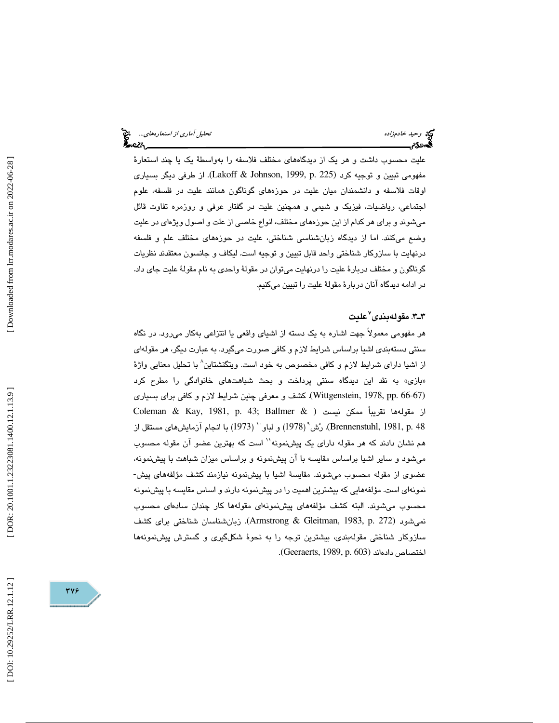عليت محسوب داشت و هر يك از ديدگاههاي مختلف فلاسفه را بهواسطة يك يا چند استعارة مفهومي تبيين و توجيه كرد (Lakoff & Johnson, 1999, p. 225). از طرفي ديگر بسياري اوقات فلاسفه و دانشمندان ميان عليت در حوزههاي گوناگون همانند عليت در فلسفه، علوم اجتماعي، رياضيات، فيزيك و شيمي و همچنين عليت در گفتار عرفي و روزمره تفاوت قائل ميشوند و براي هر كدام از اين حوزههاي مختلف، انواع خاصي از علت و اصول ويژهاي در عليت وضع ميكنند. اما از ديدگاه زبانشناسي شناختي، عليت در حوزههاي مختلف علم و فلسفه درنهايت با سازوكار شناختي واحد قابل تبيين و توجيه است. ليكاف و جانسون معتقدند نظريات گوناگون و مختلف دربارة عليت را درنهايت ميتوان در مقولة واحدي به نام مقولة عليت جاي داد. در ادامه ديدگاه آنان دربارة مقولة عليت را تبيين ميكنيم.

### ٣ـ٣. مقولهبندى<sup>٧</sup>عليت

هر مفهومي معمولاً جهت اشاره به يك دسته از اشياي واقعي يا انتزاعي بهكار ميرود. در نگاه سنتي دستهبندي اشيا براساس شرايط لازم و كافي صورت ميگيرد. به عبارت ديگر، هر مقولهاي از اشيا داراي شرايط لازم و كافي مخصوص به خود است. ويتگنشتاين 8 با تحليل معنايي واژة بازي» به نقد اين ديدگاه سنتي پرداخت و بحث شباهتهاي خانوادگي را مطرح كرد » ( ) 66-67 .pp 1978, ,Wittgenstein . كشف و معرفي چنين شرايط لازم و كافي براي بسياري Coleman & Kay, 1981, p. 43; Ballmer & از مقولهها تقريباً ممكن نيست ( ل (Brennenstuhl, 1981, p. 48). رُشْ' (1978) و لباو `` (1973) با انجام آزمايش\ماي مستقل از هم نشان دادند كه هر مقوله داراي يك پيشنمونه'' است كه بهترين عضو آن مقوله محسوب ميشود و ساير اشيا براساس مقايسه با آن پيشنمونه و براساس ميزان شباهت با پيشنمونه، عضوي از مقوله محسوب ميشوند. مقايسة اشيا با پيشنمونه نيازمند كشف مؤلفههاي پيش- نمونهاي است. مؤلفههايي كه بيشترين اهميت را در پيشنمونه دارند و اساس مقايسه با پيشنمونه محسوب ميشوند. البته كشف مؤلفههاي پيشنمونهاي مقولهها كار چندان سادهاي محسوب نمي شود (Armstrong & Gleitman, 1983, p. 272). زبان شناسان شناختي براي كشف سازوكار شناختي مقولهبندي، بيشترين توجه را به نحوة شكلگيري و گسترش پيشنمونهها اختصاص داده اند (Geeraerts, 1989, p. 603).

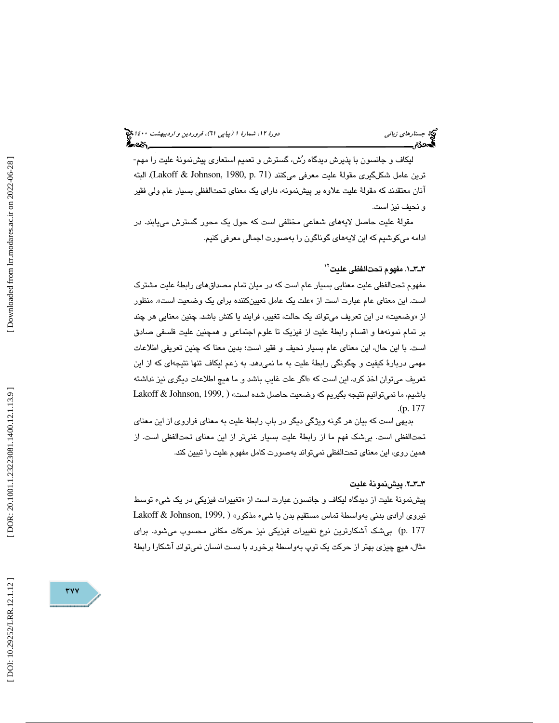### (پياپي 61)، فروردين و ارديبهشت 1400 جستارهاي زباني دورة ،12 شمارة 1

ليكاف و جانسون با پذيرش ديدگاه رش، گسترش و تعميم استعاري پيشنمونة عليت را مهم- ترين عامل شكلگيري مقولة عليت معرفي ميكنند (Lakoff & Johnson, 1980, p. 71). البته آنان معتقدند كه مقولة عليت علاوه بر پيشنمونه، داراي يك معناي تحتالفظي بسيار عام ولي فقير و نحيف نيز است.

مقولة عليت حاصل لايههاي شعاعي مختلفي است كه حول يك محور گسترش مييابند. در ادامه ميكوشيم كه اين لايههاي گوناگون را بهصورت اجمالي معرفي كنيم.

#### 1ـ3ـ3 . مفهوم تحتالفظي عليت 12

مفهوم تحتالفظي عليت معنايي بسيار عام است كه در ميان تمام مصداقهاي رابطة عليت مشترك است. اين معناي عام عبارت است از «علت يک عامل تعيينکننده براي يک وضعيت است». منظور از «وضعيت» در اين تعريف ميتواند يك حالت، تغيير، فرايند يا كنش باشد. چنين معنايي هر چند بر تمام نمونهها و اقسام رابطة عليت از فيزيك تا علوم اجتماعي و همچنين عليت فلسفي صادق است. با اين حال، اين معناي عام بسيار نحيف و فقير است؛ بدين معنا كه چنين تعريفي اطلاعات مهمي دربارة كيفيت و چگونگي رابطة عليت به ما نميدهد. به زعم ليكاف تنها نتيجهاي كه از اين تعريف ميتوان اخذ كرد، اين است كه «اگر علت غايب باشد و ما هيچ اطلاعات ديگرى نيز نداشته باشيم، ما نمي توانيم نتيجه بگيريم كه وضعيت حاصل شده است» ( Lakoff & Johnson, 1999,  $(p. 177)$ 

بديهي است كه بيان هر گونه ويژگي ديگر در باب رابطة عليت به معناي فراروي از اين معناي تحتالفظي است. بيشك فهم ما از رابطة عليت بسيار غنيتر از اين معناي تحتالفظي است. از همين روي، اين معناي تحتالفظي نميتواند بهصورت كامل مفهوم عليت را تبيين كند.

#### 2ـ3ـ3 . پيشنمونة عليت

پيشنمونهٔ عليت از ديدگاه ليكاف و جانسون عبارت است از «تغييرات فيزيكي در يک شيء توسط نيروي ارادي بدني بهواسطة تماس مستقيم بدن با شيء مذكور» ( ,Lakoff & Johnson, 1999 ) 177 .p بيشك آشكارترين نوع تغييرات فيزيكي نيز حركات مكاني محسوب ميشود. براي مثال، هيچ چيزي بهتر از حركت يك توپ بهواسطة برخورد با دست انسان نميتواند آشكارا رابطة

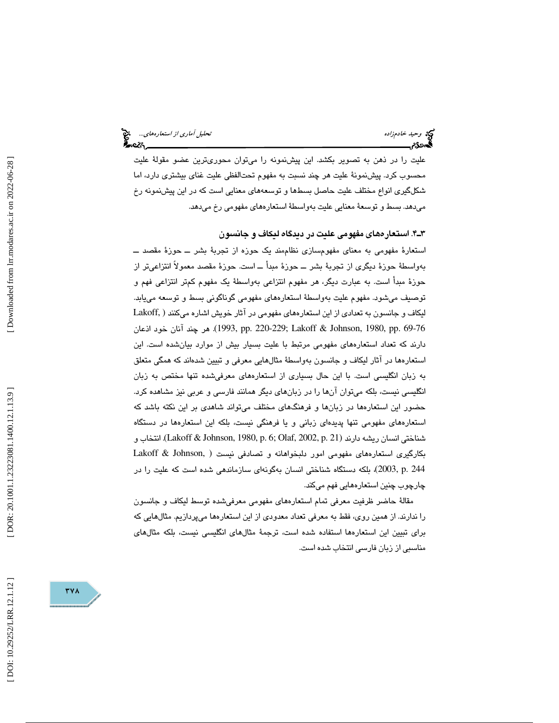عليت را در ذهن به تصوير بكشد. اين پيشنمونه را ميتوان محوريترين عضو مقولة عليت محسوب كرد. پيشنمونة عليت هر چند نسبت به مفهوم تحتالفظي عليت غناي بيشتري دارد، اما شكلگيري انواع مختلف عليت حاصل بسطها و توسعههاي معنايي است كه در اين پيشنمونه رخ ميدهد. بسط و توسعة معنايي عليت بهواسطة استعارههاي مفهومي رخ ميدهد.

4ـ3 . استعارههاي مفهومي عليت در ديدگاه ليكاف و جانسون

استعارة مفهومي به معناي مفهومسازي نظاممند يک حوزه از تجربهٔ بشر ـــ حوزهٔ مقصد ـــ بهواسطة حوزة ديگري از تجربة بشر ــ حوزة مبدأ ــ است. حوزة مقصد معمولاً انتزاعيتر از حوزة مبدأ است. به عبارت ديگر، هر مفهوم انتزاعي بهواسطة يك مفهوم كمتر انتزاعي فهم و توصيف ميشود. مفهوم عليت بهواسطة استعارههاي مفهومي گوناگوني بسط و توسعه مييابد. ليكاف و جانسون به تعدادي از اين استعارههاي مفهومي در آثار خويش اشاره ميكنند ( .Lakoff 1993, pp. 220-229; Lakoff & Johnson, 1980, pp. 69-76. هر چند آنان خود اذعان دارند كه تعداد استعارههاي مفهومي مرتبط با عليت بسيار بيش از موارد بيانشده است. اين استعارهها در آثار ليكاف و جانسون بهواسطة مثالهايي معرفي و تبيين شدهاند كه همگي متعلق به زبان انگليسي است. با اين حال بسياري از استعارههاي معرفيشده تنها مختص به زبان انگليسي نيست، بلكه ميتوان آنها را در زبانهاي ديگر همانند فارسي و عربي نيز مشاهده كرد. حضور اين استعارهها در زبانها و فرهنگهاي مختلف ميتواند شاهدي بر اين نكته باشد كه استعارههاي مفهومي تنها پديدهاي زباني و يا فرهنگي نيست، بلكه اين استعارهها در دستگاه شناختي انسان ريشه دارند (Lakoff & Johnson, 1980, p. 6; Olaf, 2002, p. 21). انتخاب و بكارگيري استعاره ( هاي مفهومي امور دلبخواهانه و تصادفي نيست ,Johnson & Lakoff ) 244 .p 2003, ، بلكه دستگاه شناختي انسان به گونهاي سازماندهي شده است كه عليت را در چارچوب چنين استعارههايي فهم ميكند.

مقالة حاضر ظرفيت معرفي تمام استعارههاي مفهومي معرفيشده توسط ليكاف و جانسون را ندارند. از همين روي، فقط به معرفي تعداد معدودي از اين استعارهها ميپردازيم. مثالهايي كه براي تبيين اين استعارهها استفاده شده است، ترجمة مثالهاي انگليسي نيست، بلكه مثالهاي مناسبي از زبان فارسي انتخاب شده است.

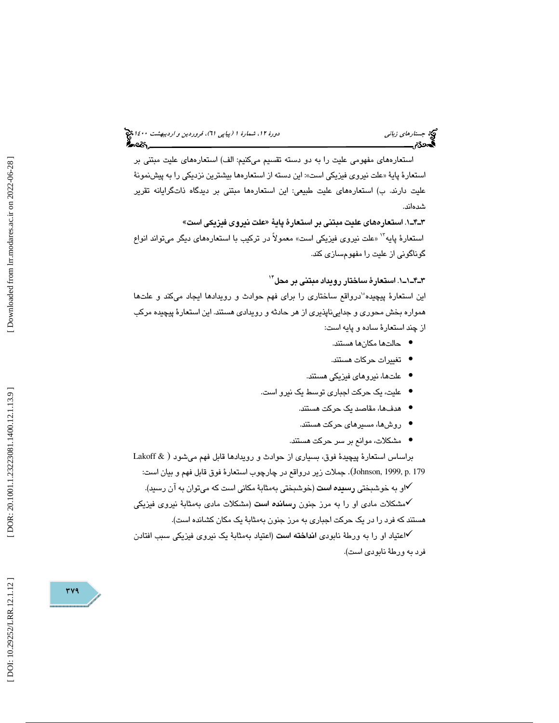### (پياپي 61)، فروردين و ارديبهشت 1400 جستارهاي زباني دورة ،12 شمارة 1

استعارههاي مفهومي عليت را به دو دسته تقسيم ميكنيم: الف) استعارههاي عليت مبتني بر استعارهٔ پايهٔ «علت نيروي فيزيكي است»: اين دسته از استعارهها بيشترين نزديكي را به پيشنمونهٔ عليت دارند. ب) استعارههاي عليت طبيعي: اين استعارهها مبتني بر ديدگاه ذاتگرايانه تقرير شدهاند.

1ـ4ـ3 . استعارههاي عليت مبتني بر استعارة پاية «علت نيروي فيزيكي است » استعارهٔ پايه<sup>۱۲</sup> «علت نيروي فيزيكي است» معمولاً در تركيب با استعارههاي ديگر ميتواند انواع گوناگوني از عليت را مفهومسازي كند.

1ـ1ـ4ـ3 . استعارة ساختار رويداد مبتني بر محل 14

اين استعارهٔ پيچيده°درواقع ساختارى را براى فهم حوادث و رويدادها ايجاد ميكند و علتها همواره بخش محوري و جداييناپذيري از هر حادثه و رويدادي هستند. اين استعارة پيچيده مركب از چند استعارة ساده و پايه است:

- حالتها مكانها هستند.
- تغييرات حركات هستند. •
- علتها، نيروهاي فيزيكي هستند. •
- عليت، يك حركت اجباري توسط يك نيرو است.
	- هدفها، مقاصد يك حركت هستند. •
	- روشها، مسيرهاي حركت هستند. •
	- مشكلات، موانع بر سر حركت هستند. •

براساس استعارهٔ پيچيدهٔ فوق، بسياري از حوادث و رويدادها قابل فهم مي شود ( Lakoff & . ) 179 .p 1999, ,Johnson جملات زير درواقع در چارچوب استعارة فوق قابل فهم و بيان است:

او به خوشبختي رسيده است (خوشبختي بهمثابة مكاني است كه ميتوان به آن رسيد).

مشكلات مادي او را به مرز جنون رسانده است (مشكلات مادي بهمثابة نيروي فيزيكي هستند كه فرد را در يك حركت اجباري به مرز جنون بهمثابة يك مكان كشانده است).

اعتياد او را به ورطة نابودي انداخته است (اعتياد بهمثابة يك نيروي فيزيكي سبب افتادن فرد به ورطة نابودي است).

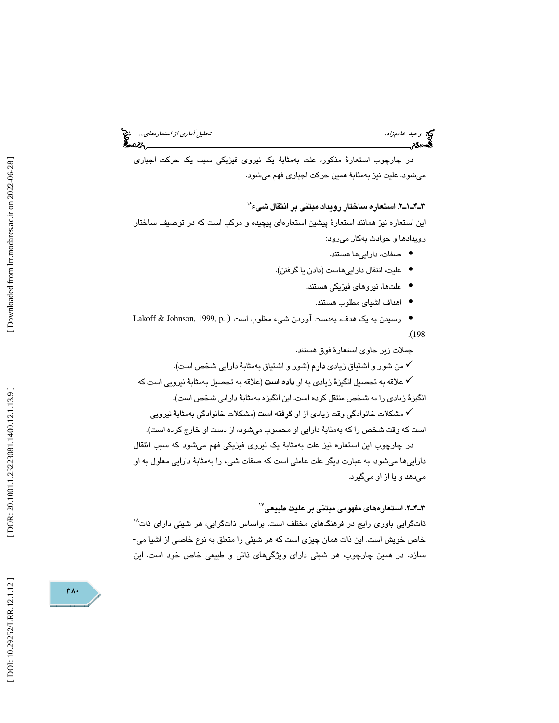# وحيد خادمزاده تحليل آماري از استعارههاي...

در چارچوب استعارة مذكور، علت بهمثابة يك نيروي فيزيكي سبب يك حركت اجباري ميشود. عليت نيز بهمثابة همين حركت اجباري فهم ميشود.

#### 2ـ1ـ4ـ3 . استعاره ساختار رويداد مبتني بر انتقال شيء 16

اين استعاره نيز همانند استعارة پيشين استعارهاي پيچيده و مركب است كه در توصيف ساختار رويدادها و حوادث بهكار ميرود:

- صفات، داراييها هستند. •
- عليت، انتقال داراييهاست (دادن يا گرفتن).
	- علتها، نيروهاي فيزيكي هستند.
		- اهداف اشياي مطلوب هستند. •
- رسیدن به یک هدف، بهدست آوردن شیء مطلوب است ( .Lakoff & Johnson, 1999, p

198

جملات زير حاوي استعارة فوق هستند.

من شور و اشتياق زيادي دارم (شور و اشتياق بهمثابة دارايي شخص است).

علاقه به تحصيل انگيزة زيادي به او داده است (علاقه به تحصيل بهمثابة نيرويي است كه نگيزة زيادي را به شخص منتقل كرده است. اين انگيزه بهمثابة دارايي شخص است). ا

مشكلات خانوادگي وقت زيادي از او گرفته است (مشكلات خانوادگي بهمثابة نيرويي است كه وقت شخص را كه بهمثابة دارايي او محسوب ميشود، از دست او خارج كرده است).

در چارچوب اين استعاره نيز علت بهمثابة يك نيروي فيزيكي فهم ميشود كه سبب انتقال داراييها ميشود، به عبارت ديگر علت عاملي است كه صفات شيء را بهمثابة دارايي معلول به او ميدهد و يا از او ميگيرد.

#### 2ـ4ـ3 . استعارههاي مفهومي مبتني بر عليت طبيعي 17

ذاتگرايي باوري رايج در فرهنگهاي مختلف است. براساس ذاتگرايي، هر شيئي داراي ذات<sup>۱۸</sup> خاص خويش است. اين ذات همان چيزي است كه هر شيئي را متعلق به نوع خاصي از اشيا مي- سازد. در همين چارچوب، هر شيئي داراي ويژگيهاي ذاتي و طبيعي خاص خود است. اين

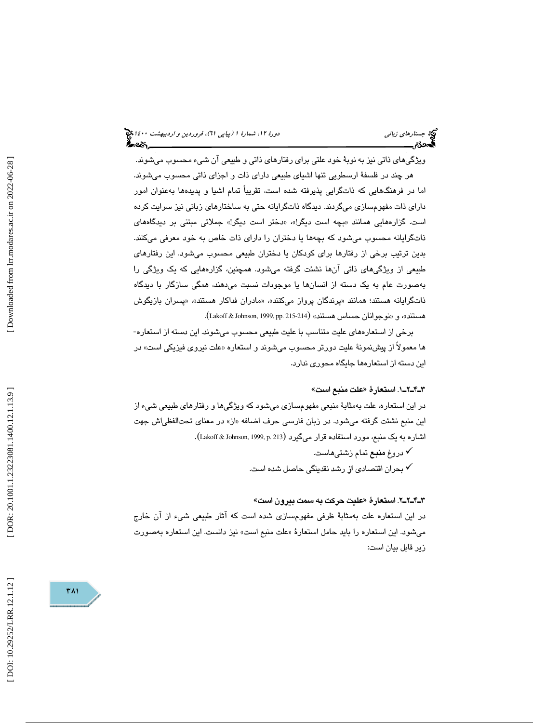(پياپي 61)، فروردين و ارديبهشت 1400 جستارهاي زباني دورة ،12 شمارة 1

ويژگيهاي ذاتي نيز به نوبة خود علتي براي رفتارهاي ذاتي و طبيعي آن شيء محسوب ميشوند. هر چند در فلسفة ارسطويي تنها اشياي طبيعي داراي ذات و اجزاي ذاتي محسوب ميشوند. اما در فرهنگهايي كه ذاتگرايي پذيرفته شده است، تقريباً تمام اشيا و پديدهها بهعنوان امور داراي ذات مفهومسازي ميگردند. ديدگاه ذاتگرايانه حتي به ساختارهاي زباني نيز سرايت كرده است. گزارههايی همانند «بچه است ديگر!»، «دختر است ديگر!» جملاتی مبتنی بر ديدگاههای ذاتگرايانه محسوب ميشود كه بچهها يا دختران را داراي ذات خاص به خود معرفي ميكنند. بدين ترتيب برخي از رفتارها براي كودكان يا دختران طبيعي محسوب ميشود. اين رفتارهاي طبيعي از ويژگيهاي ذاتي آنها نشئت گرفته ميشود. همچنين، گزارههايي كه يك ويژگي را بهصورت عام به يك دسته از انسانها يا موجودات نسبت ميدهند، همگي سازگار با ديدگاه ذاتگرایانه هستند؛ همانند «پرندگان پرواز میکنند»، «مادران فداکار هستند»، «پسران بازیگوش هستند»، و «نوجوانان حساس هستند» (Lakoff & Johnson, 1999, pp. 215-214).

برخي از استعارههاي عليت متناسب با عليت طبيعي محسوب ميشوند. اين دسته از استعاره- ها معمولاً از پيشنمونهٔ عليت دورتر محسوب ميشوند و استعاره «علت نيروي فيزيكي است» در اين دسته از استعارهها جايگاه محوري ندارد.

#### 1ـ2ـ4ـ3 . استعارة «علت منبع است »

در اين استعاره، علت بهمثابة منبعي مفهومسازي ميشود كه ويژگيها و رفتارهاي طبيعي شيء از اين منبع نشئت گرفته ميشود. در زبان فارسي حرف اضافه «از» در معناي تحتالفظياش جهت اشاره به يک منبع، مورد استفاده قرار ميگيرد (Lakoff & Johnson, 1999, p. 213).

> دروغ منبع تمام زشتيهاست. بحران اقتصا*دی* از رشد نقدينگي حاصل شده است.  $\checkmark$

#### 2ـ2ـ4ـ3 . استعارة «عليت حركت به سمت بيرون است »

در اين استعاره علت بهمثابة ظرفي مفهومسازي شده است كه آثار طبيعي شيء از آن خارج مي شود. اين استعاره را بايد حامل استعارهٔ «علت منبع است» نيز دانست. اين استعاره بهصورت زير قابل بيان است:

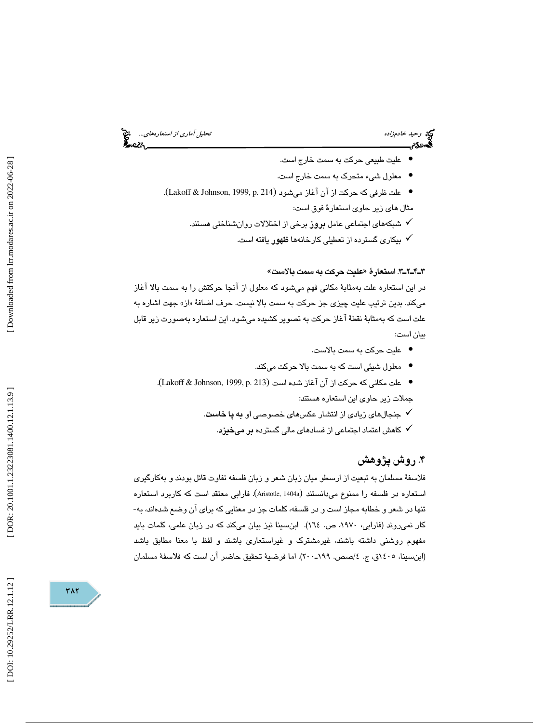وكيد وحيد خادمزاده استعارههاي... المجمع المتحدث التحليل آماري از استعارههاي... المجمع التحليل آماري از استعارههاي...<br>**تحمد عن التحليل التحليل التحليل التحليل التحليل التحليل التحليل التحليل التحليل التحليل التحليل التحليل** 

- عليت طبيعي حركت به سمت خارج است. •
- معلول شيء متحرك به سمت خارج است. •
- علت ظرفي كه حركت از آن آغاز ميشود (Lakoff & Johnson, 1999, p. 214). مثال هاي زير حاوي استعارة فوق است:
	- شبكههاي اجتماعي عامل بروز برخي از اختلالات روانشناختي هستند.
		- بيكاري گسترده از تعطيلي كارخانهها ظهور يافته است.

3ـ2ـ4ـ3 . استعارة «عليت حركت به سمت بالاست »

در اين استعاره علت بهمثابة مكاني فهم ميشود كه معلول از آنجا حركتش را به سمت بالا آغاز ميكند. بدين ترتيب عليت چيزي جز حركت به سمت بالا نيست. حرف اضافهٔ «از» جهت اشاره به علت است كه بهمثابة نقطة آغاز حركت به تصوير كشيده ميشود. اين استعاره بهصورت زير قابل بيان است:

- عليت حركت به سمت بالاست. •
- معلول شيئي است كه به سمت بالا حركت ميكند. •
- علت مكاني كه حركت از آن آغاز شده است (Lakoff & Johnson, 1999, p. 213). جملات زير حاوي اين استعاره هستند:
	- جنجالهاي زيادي از انتشار عكسهاي خصوصي او به پا خاست.
		- كاهش اعتماد اجتماعي از فسادهاي مالي گسترده بر ميخيزد.

### ۴. روش پژوهش

فلاسفة مسلمان به تبعيت از ارسطو ميان زبان شعر و زبان فلسفه تفاوت قائل بودند و بهكارگيري استعاره در فلسفه را ممنوع ميدانستند (Aristotle, 1404a). فارابي معتقد است كه كاربرد استعاره تنها در شعر و خطابه مجاز است و در فلسفه، كلمات جز در معنايي كه براي آن وضع شدهاند، به- كار نمي روند (فارابي، ١٩٧٠، ص. ١٦٤). ابنِسينا نيز بيان ميكند كه در زبان علمي، كلمات بايد مفهوم روشني داشته باشند، غيرمشترك و غيراستعاري باشند و لفظ با معنا مطابق باشد (ابنِسينا، ١٤٠٥ق، ج. ٤/صص. ١٩٩-٢٠٠). اما فرضيهٔ تحقيق حاضر آن است كه فلاسفهٔ مسلمان

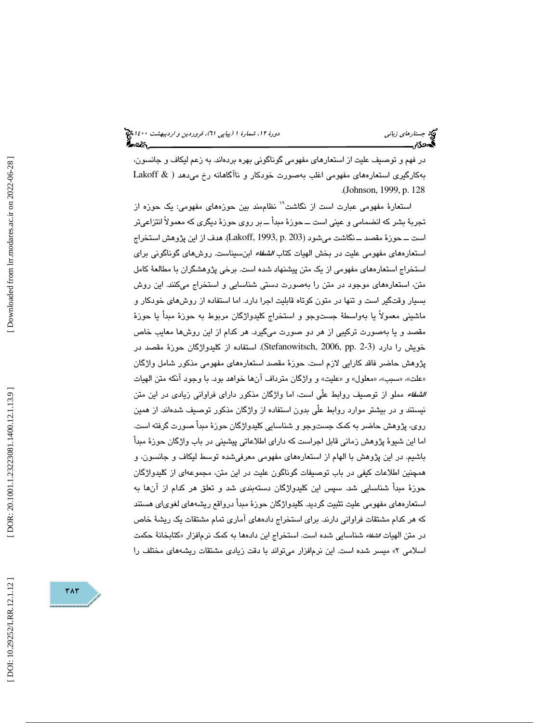در فهم و توصيف عليت از استعارهاي مفهومي گوناگوني بهره بردهاند. به زعم ليكاف و جانسون، بهكارگيري استعارههاي مفهومي اغلب بهصورت خودكار و ناآگاهانه رخ مي ( دهد & Lakoff . Johnson, 1999, p. 128 (

استعارهٔ مفهومی عبارت است از نگاشت<sup>۱۹</sup> نظاممند بين حوزههای مفهومی: يک حوزه از تجربة بشر كه انضمامي و عيني است ــ حوزة مبدأ ــ بر روي حوزة ديگري كه معمولاً انتزاعيتر است ــ حوزة مقصد ــ نگاشت ميشود( ) 203 .p 1993, ,Lakoff . هدف از اين پژوهش استخراج استعارههاي مفهومي عليت در بخش الهيات كتاب الشفاء ابنسيناست. روشهاي گوناگوني براي استخراج استعارههاي مفهومي از يك متن پيشنهاد شده است. برخي پژوهشگران با مطالعة كامل متن، استعارههاي موجود در متن را بهصورت دستي شناسايي و استخراج ميكنند. اين روش بسيار وقتگير است و تنها در متون كوتاه قابليت اجرا دارد. اما استفاده از روشهاي خودكار و ماشيني معمولاً يا بەواسطۀ جستوجو و استخراج كليدواژگان مربوط به حوزۀ مبدأ يا حوزۀ مقصد و يا بهصورت تركيبي از هر دو صورت ميگيرد. هر كدام از اين روشها معايب خاص خويش را دارد (2-2 .Stefanowitsch, 2006, pp ). استفاده از كليدواژگان حوزهٔ مقصد در پژوهش حاضر فاقد كارايي لازم است. حوزة مقصد استعارههاي مفهومي مذكور شامل واژگان «علت»، «سبب»، «معلول» و «عليت» و واژگان مترداف آنها خواهد بود. با وجود آنكه متن الهيات الشفاء مملو از توصيف روابط علّي است، اما واژگان مذكور داراي فراواني زيادي در اين متن نيستند و در بيشتر موارد روابط علّي بدون استفاده از واژگان مذكور توصيف شدهاند. از همين روي، پژوهش حاضر به كمك جستوجو و شناسايي كليدواژگان حوزة مبدأ صورت گرفته است. اما اين شيوة پژوهش زماني قابل اجراست كه داراي اطلاعاتي پيشيني در باب واژگان حوزة مبدأ باشيم. در اين پژوهش با الهام از استعارههاي مفهومي معرفيشده توسط ليكاف و جانسون، و همچنين اطلاعات كيفي در باب توصيفات گوناگون عليت در اين متن، مجموعهاي از كليدواژگان حوزة مبدأ شناسايي شد. سپس اين كليدواژگان دستهبندي شد و تعلق هر كدام از آنها به استعارههاي مفهومي عليت تثبيت گرديد. كليدواژگان حوزة مبدأ درواقع ريشههاي لغوياي هستند كه هر كدام مشتقات فراواني دارند. براي استخراج دادههاي آماري تمام مشتقات يك ريشة خاص در متن الهيات *الشفاء* شناسايي شده است. استخراج اين دادهها به كمک نرمافزار «كتابخانهٔ حكمت » ميسر شده است. اين نرمافزار ميتواند با دقت زيادي مشتقات ريشههاي مختلف را اسلامي 2

٣٨٣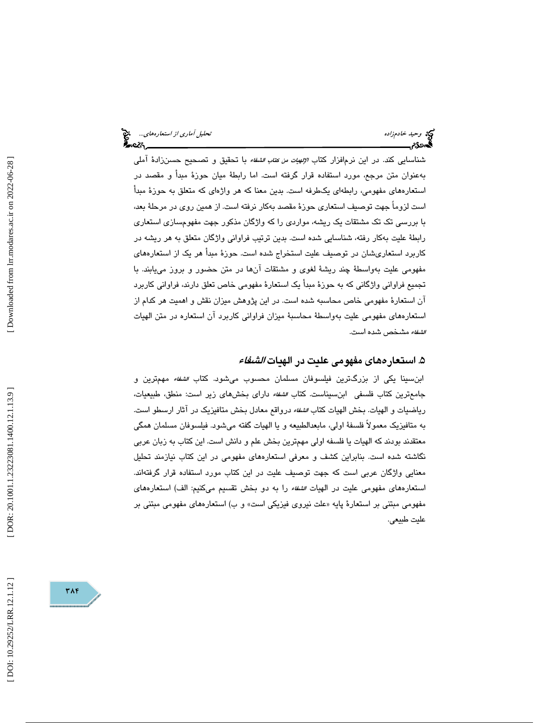شناسايي كند. در اين نرم|فزار كتاب *الإلهيات من كتاب الشفاء* با تحقيق و تصـحيح حسـن(ادهٔ آملي بهعنوان متن مرجع، مورد استفاده قرار گرفته است. اما رابطة ميان حوزة مبدأ و مقصد در استعارههاي مفهومي، رابطهاي يكطرفه است. بدين معنا كه هر واژهاي كه متعلق به حوزة مبدأ است لزوماً جهت توصيف استعاري حوزة مقصد بهكار نرفته است. از همين روي در مرحلة بعد، با بررسي تك تك مشتقات يك ريشه، مواردي را كه واژگان مذكور جهت مفهومسازي استعاري رابطة عليت بهكار رفته، شناسايي شده است. بدين ترتيب فراواني واژگان متعلق به هر ريشه در كاربرد استعاريشان در توصيف عليت استخراج شده است. حوزة مبدأ هر يك از استعارههاي مفهومي عليت بهواسطة چند ريشة لغوي و مشتقات آنها در متن حضور و بروز مييابند. با تجميع فراواني واژگاني كه به حوزة مبدأ يك استعارة مفهومي خاص تعلق دارند، فراواني كاربرد آن استعارة مفهومي خاص محاسبه شده است. در اين پژوهش ميزان نقش و اهميت هر كدام از استعارههاي مفهومي عليت بهواسطة محاسبة ميزان فراواني كاربرد آن استعاره در متن الهيات *الشفاء* مشخص شده است.

#### ۵. استعار *مه*ای مفهومی علیت در الهیات *الشفاء*

 ابنسينا يكي از بزرگترين فيلسوفان مسلمان محسوب ميشود. كتاب الشفاء مهمترين و جامعترين كتاب فلسفي ابنسيناست. كتاب الشفاء داراي بخشهاي زير است: منطق، طبيعيات، رياضيات و الهيات. بخش الهيات كتاب الشفاء درواقع معادل بخش متافيزيك در آثار ارسطو است. به متافيزيك معمولاً فلسفة اولي، مابعدالطبيعه و يا الهيات گفته ميشود. فيلسوفان مسلمان همگي معتقدند بودند كه الهيات يا فلسفه اولي مهمترين بخش علم و دانش است. اين كتاب به زبان عربي نگاشته شده است. بنابراين كشف و معرفي استعارههاي مفهومي در اين كتاب نيازمند تحليل معنايي واژگان عربي است كه جهت توصيف عليت در اين كتاب مورد استفاده قرار گرفتهاند. استعار ههاي مفهومي عليت در الهيات *الشفاء* را به دو بخش تقسيم مي كنيم: الف) استعار ههاي مفهومي مبتني بر استعارهٔ پايه «علت نيروي فيزيكي است» و ب) استعارههاي مفهومي مبتني بر عليت طبيعي.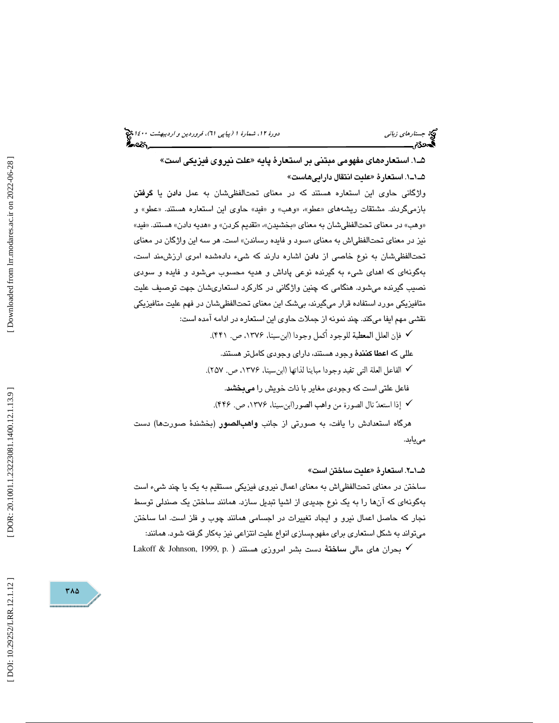(پياپي 61)، فروردين و ارديبهشت 1400 جستارهاي زباني دورة ،12 شمارة 1

1ـ5 . استعارههاي مفهومي مبتني بر استعارة پايه «علت نيروي فيزيكي است » 1ـ1ـ5 . استعارة «عليت انتقال داراييهاست »

واژگاني حاوي اين استعاره هستند كه در معناي تحتالفظيشان به عمل دادن يا گرفتن بازميگردند. مشتقات ريشههاي «عطو»، «وهب» و «فيد» حاوي اين استعاره هستند. «عطو» و «وهب» در معناي تحتالفظي شان به معناي «بخشيدن»، «تقديم كردن» و «هديه دادن» هستند. «فيد» نيز در معناي تحتالفظي|ش به معناي «سود و فايده رساندن» است. هر سه اين واژگان در معناي تحتالفظيشان به نوع خاصي از دادن اشاره دارند كه شيء دادهشده امري ارزشمند است، ي كه اهداي شيء به گيرنده نوعي پاداش و هديه محسوب ميشود و فايده و سودي بهگونها نصيب گيرنده ميشود. هنگامي كه چنين واژگاني در كاركرد استعاريشان جهت توصيف عليت متافيزيكي مورد استفاده قرار ميگيرند، بيشك اين معناي تحتالفظيشان در فهم عليت متافيزيكي نقشي مهم ايفا ميكند. چند نمونه از جملات حاوي اين استعاره در ادامه آمده است:

فإن العلل المعطية للوجود أكمل وجودا (ابنسينا، ،1376 ص. 441 .)

عللي كه اعطا كنندة وجود هستند، داراي وجودي كاملتر هستند.

الفاعل العلة التى تفيد وجودا مباينا لذاتها (ابنسينا، ،1376 ص. 257 .)

فاعل علتي است كه وجودي مغاير با ذات خويش را ميبخشد.

إذا استعد نال الصورة من واهب الصور (ابنسينا، ،1376 ص. 446 .)

هرگاه استعدادش را يافت، به صورتي از جانب واهبالصور (بخشندة صورتها) دست مييابد.

#### 2ـ1ـ5 . استعارة «عليت ساختن است »

ساختن در معناي تحتالفظياش به معناي اعمال نيروي فيزيكي مستقيم به يك يا چند شيء است بهگونهاي كه آنها را به يك نوع جديدي از اشيا تبديل سازد. همانند ساختن يك صندلي توسط نجار كه حاصل اعمال نيرو و ايجاد تغييرات در اجسامي همانند چوب و فلز است. اما ساختن ميتواند به شكل استعاري براي مفهومسازي انواع عليت انتزاعي نيز بهكار گرفته شود. همانند:

بحران های مالی <mark>ساخت</mark>هٔ دست بشر امروزی هستند ( .Lakoff & Johnson, 1999, p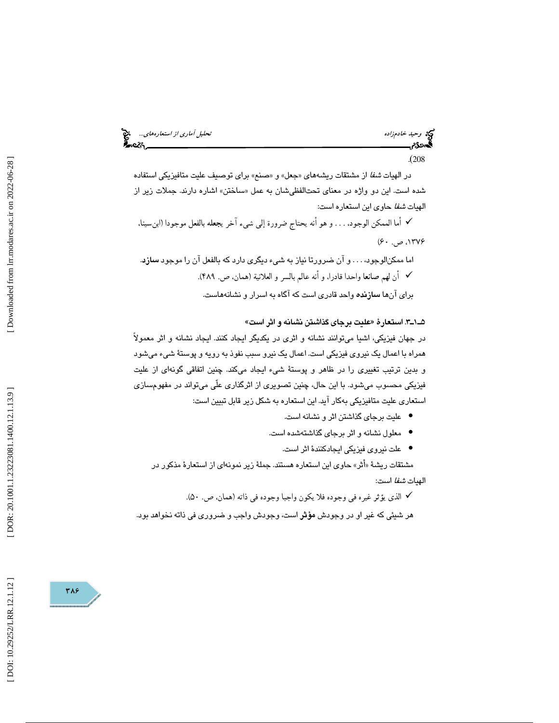وكي وحيد خادم زاده تحليل آماري *از استعارههاي...*... وحيد خادم زاده تحليل آماري *از استعارههاي...*... وحيد المتح<br>**تحمد دي المتحد المتحد المتحد المتحد المتحد المتحد المتحد المتحد المتحد المتحد المتحد المتحد المتحد المتحد ا** 

. 208 (

در الهيات *شفا* از مشتقات ريشههاي «جعل» و «صنع» براي توصيف عليت متافيزيكي استفاده شده است. اين دو واژه در معناي تحتالفظيشان به عمل «ساختن» اشاره دارند. جملات زير از الهيات شفا حاوي اين استعاره است:

أما الممكن الوجود، . . . و هو أنه يحتاج ضرورة إلى شىء آخر يجعله بالفعل موجودا (ابنسينا، ، ۱۳۷۶ ص.  $\cdot$ ۶۰ $\cdot$ 

اما ممكنالوجود، . . . و آن ضرورتا نياز به شيء ديگري دارد كه بالفعل آن را موجود سازد . أن لهم صانعا واحدا قادرا، و أنه عالم بالسر و العلانية( همان، ص. 489 .) براي آنها سازنده واحد قادري است كه آگاه به اسرار و نشانههاست.

#### 3ـ1ـ5 . استعارة «عليت برجاي گذاشتن نشانه و اثر است »

در جهان فيزيكي، اشيا ميتوانند نشانه و اثري در يكديگر ايجاد كنند. ايجاد نشانه و اثر معمولاً همراه با اعمال يك نيروي فيزيكي است. اعمال يك نيرو سبب نفوذ به رويه و پوستة شيء ميشود و بدين ترتيب تغييري را در ظاهر و پوستة شيء ايجاد ميكند. چنين اتفاقي گونهاي از عليت فيزيكي محسوب ميشود. با اين حال، چنين تصويري از اثرگذاري علّي ميتواند در مفهومسازي استعاري عليت متافيزيكي بهكار آيد. اين استعاره به شكل زير قابل تبيين است:

- عليت برجاي گذاشتن اثر و نشانه است. •
- معلول نشانه و اثر برجاي گذاشتهشده است.
	- علت نيروي فيزيكي ايجادكنندة اثر است. •

مشتقات ريشهٔ «أثر» حاوي اين استعاره هستند. جملهٔ زير نمونهاي از استعارهٔ مذكور در الهيات شفا است:

الذى يؤثر غيره فى وجوده فلا يكون واجبا وجوده فى ذاته ( همان، ص. .)50

هر شيئي كه غير او در وجودش مؤثر است، وجودش واجب و ضروري في ذاته نخواهد بود.

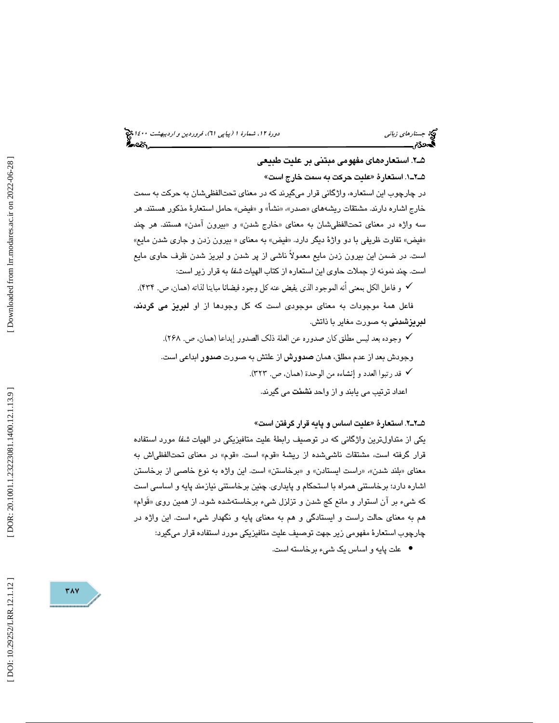(پياپي 61)، فروردين و ارديبهشت 1400 جستارهاي زباني دورة ،12 شمارة 1

#### 2ـ5 . استعارههاي مفهومي مبتني بر عليت طبيعي

1ـ2ـ5 . استعارة «عليت حركت به سمت خارج است » در چارچوب اين استعاره، واژگاني قرار ميگيرند كه در معناي تحتالفظيشان به حركت به سمت خارج اشاره دارند. مشتقات ريشههاي «صدر»، «نشأ» و «فيض» حامل استعارهٔ مذكور هستند. هر سه واژه در معناي تحتالفظيشان به معناي «خارج شدن» و «بيرون آمدن» هستند. هر چند «فيض» تفاوت ظريفي با دو واژهٔ ديگر دارد. «فيض» به معناي « بيرون زدن و جاري شدن مايع» است. در ضمن اين بيرون زدن مايع معمولاً ناشي از پر شدن و لبريز شدن ظرف حاوي مايع است. چند نمونه از جملات حاوي اين استعاره از كتاب الهيات شفا به قرار زير است:

و فاعل الكل بمعنى أنه الموجود الذى يفيض عنه كل وجود فيضانا مباينا لذاته( همان، ص. 434 .) فاعل همة موجودات به معناي موجودي است كه كل وجودها از او لبريز مي گردند، لبريزشدني به صورت مغاير با ذاتش.

وجوده بعد ليس مطلق كان صدوره عن العلة ذلك الصدور إبداعا( همان، ص. 268 . ) وجودش بعد از عدم مطلق، همان صدورش از علتش به صورت صدور ابداعي است. ∕ قد رتبوا العدد و إنشاءه من الوحدة (همان، ص. ٢٢٣). اعداد ترتيب مي يابند و از واحد نشئت مي گيرند.

2ـ2ـ5 . استعارة «عليت اساس و پايه قرار گرفتن است »

يكي از متداولترين واژگاني كه در توصيف رابطهٔ عليت متافيزيكي در الهيات *شفا* مورد استفاده قرار گرفته است، مشتقات ناشيشده از ريشهٔ «قوم» است. «قوم» در معناي تحتالفظياش به معناي «بلند شدن»، «راست ايستادن» و «برخاستن» است. اين واژه به نوع خاصي از برخاستن اشاره دارد؛ برخاستني همراه با استحكام و پايداري. چنين برخاستني نيازمند پايه و اساسي است كه شيء بر آن استوار و مانع كج شدن و تزلزل شيء برخاستهشده شود. از همين روي «قُوام» هم به معناي حالت راست و ايستادگي و هم به معناي پايه و نگهدار شيء است. اين واژه در چارچوب استعارة مفهومي زير جهت توصيف عليت متافيزيكي مورد استفاده قرار ميگيرد:

علت پايه و اساس يك شيء برخاسته است. •

Downloaded from lrr.modares.ac.ir on 2022-06-28

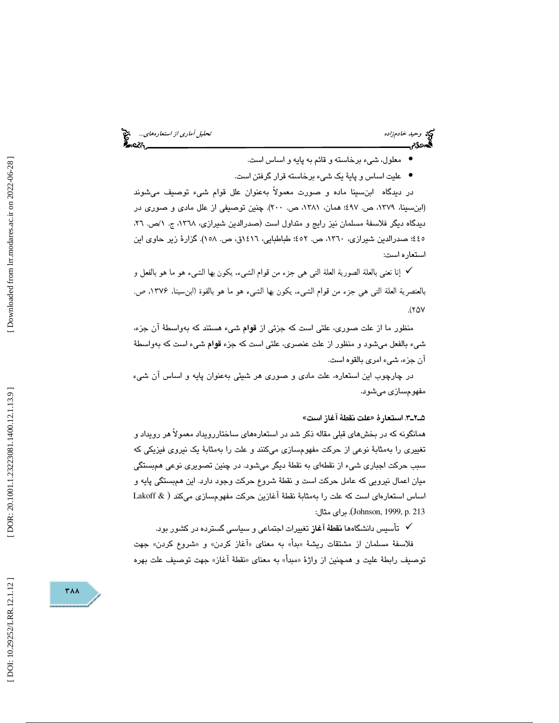وحيد خادمزاده تحليل آماري از استعارههاي...

- معلول، شيء برخاسته و قائم به پايه و اساس است. •
- عليت اساس و پاية يك شيء برخاسته قرار گرفتن است. •

در ديدگاه ابنسينا ماده و صورت معمولاً بهعنوان علل قوام شيء توصيف ميشوند (ابنِسينا، ١٣٧٩، ص. ٤٩٧؛ همان، ١٣٨١، ص. ٢٠٠). چنين توصيفي از علل مادي و صوري در ديدگاه ديگر فلاسفهٔ مسلمان نيز رايج و متداول است (صدرالدين شيرازي، ١٣٦٨، ج. ١/ص. ٢٦، ٤٤٥؛ صدرالدين شيرازي، ١٣٦٠، ص. ٤٥٢؛ طباطبايي، ١٤١٦ق، ص. ١٥٨). گزارهٔ زير حاوي اين استعاره است:

 إنا نعنى بالعلة الصورية العلة التى هى جزء من قوام الشىء، يكون بها الشىء هو ما هو بالفعل و بالعنصرية العلة التى هى جزء من قوام الشىء، يكون بها الشىء هو ما هو بالقوة (ابنسينا، ،1376 ص.  $(70V)$ 

منظور ما از علت صوري، علتي است كه جزئي از قوام شيء هستند كه بهواسطة آن جزء، شيء بالفعل ميشود و منظور از علت عنصري، علتي است كه جزء قوام شيء است كه بهواسطة آن جزء، شيء امري بالقوه است.

در چارچوب اين استعاره، علت مادي و صوري هر شيئي بهعنوان پايه و اساس آن شيء مفهومسازي ميشود.

#### 3ـ2ـ5 . استعارة «علت نقطة آغاز است »

همانگونه كه در بخشهاي قبلي مقاله ذكر شد در استعارههاي ساختاررويداد معمولاً هر رويداد و تغييري را بهمثابة نوعي از حركت مفهومسازي ميكنند و علت را بهمثابة يك نيروي فيزيكي كه سبب حركت اجباري شيء از نقطهاي به نقطة ديگر ميشود. در چنين تصويري نوعي همبستگي ميان اعمال نيرويي كه عامل حركت است و نقطة شروع حركت وجود دارد. اين همبستگي پايه و اساس استعارهاي است كه علت را بهمثابة نقطة آغازين حركت مفهومسازي مي ( كند & Lakoff ) 213 .p 1999, ,Johnson . براي مثال:

تأسيس دانشگاهها نقطة آغاز تغييرات اجتماعي و سياسي گسترده در كشور بود.

فلاسفهٔ مسلمان از مشتقات ریشهٔ «بدأ» به معنای «آغاز کردن» و «شروع کردن» جهت توصيف رابطهٔ عليت و همچنين از واژهٔ «مبدأ» به معناي «نقطهٔ آغاز» جهت توصيف علت بهره

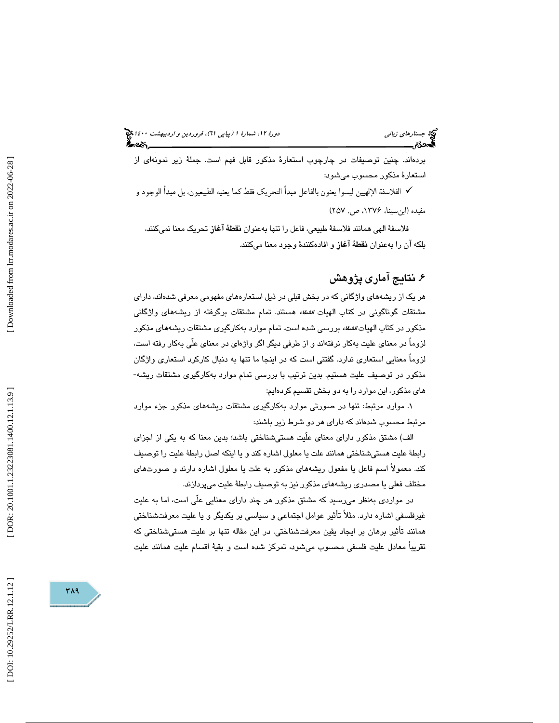### (پياپي 61)، فروردين و ارديبهشت 1400 جستارهاي زباني دورة ،12 شمارة 1

بردهاند. چنين توصيفات در چارچوب استعارة مذكور قابل فهم است. جملة زير نمونهاي از استعارة مذكور محسوب ميشود:

 الفلاسفة الإلهيين ليسوا يعنون بالفاعل مبدأ التحريك فقط كما يعنيه الطبيعيون، بل مبدأ الوجود و مفيده (ابنسينا، ،1376 ص. 257 )

 فلاسفة الهي همانند فلاسفة طبيعي، فاعل را تنها بهعنوان نقطة آغاز تحريك معنا نميكنند، بلكه آن را بهعنوان نقطة آغاز و افادهكنندة وجود معنا ميكنند.

### 6. نتايج آماري پژوهش

هر يك از ريشههاي واژگاني كه در بخش قبلي در ذيل استعارههاي مفهومي معرفي شدهاند، داراي مشتقات گوناگونی در كتاب الهيات *اشفاء* هستند. تمام مشتقات برگرفته از ريشههای واژگانی مذكور در كتاب الهيات *الشفاء* بررسي شده است. تمام موارد بهكارگيري مشتقات ريشههاي مذكور لزوماً در معناي عليت بهكار نرفتهاند و از طرفي ديگر اگر واژهاي در معناي علّي بهكار رفته است، لزوماً معنايي استعاري ندارد. گفتني است كه در اينجا ما تنها به دنبال كاركرد استعاري واژگان مذكور در توصيف عليت هستيم. بدين ترتيب با بررسي تمام موارد بهكارگيري مشتقات ريشه- هاي مذكور، اين موارد را به دو بخش تقسيم كردهايم:

. موارد مرتبط: تنها در صورتي موارد بهكارگيري مشتقات ريشههاي مذكور جزء موارد 1 مرتبط محسوب شدهاند كه داراي هر دو شرط زير باشند:

الف) مشتق مذكور داراي معناي علّيت هستيشناختي باشد؛ بدين معنا كه به يكي از اجزاي رابطة عليت هستيشناختي همانند علت يا معلول اشاره كند و يا اينكه اصل رابطة عليت را توصيف كند. معمولاً اسم فاعل يا مفعول ريشههاي مذكور به علت يا معلول اشاره دارند و صورتهاي مختلف فعلي يا مصدري ريشههاي مذكور نيز به توصيف رابطة عليت ميپردازند.

در مواردي بهنظر ميرسيد كه مشتق مذكور هر چند داراي معنايي علّي است، اما به عليت غيرفلسفي اشاره دارد. مثلاً تأثير عوامل اجتماعي و سياسي بر يكديگر و يا عليت معرفتشناختي همانند تأثير برهان بر ايجاد يقين معرفتشناختي. در اين مقاله تنها بر عليت هستيشناختي كه تقريباً معادل عليت فلسفي محسوب ميشود، تمركز شده است و بقية اقسام عليت همانند عليت

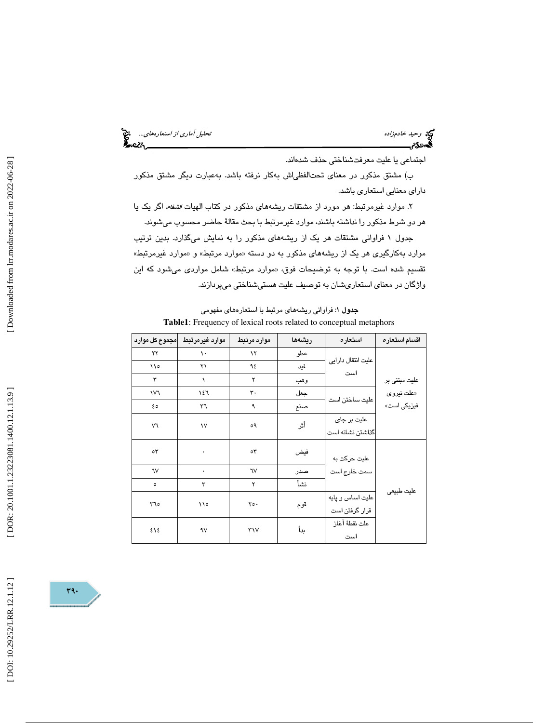اجتماعي يا عليت معرفتشناختي حذف شدهاند.

ب) مشتق مذكور در معناي تحتالفظياش بهكار نرفته باشد. بهعبارت ديگر مشتق مذكور داراي معنايي استعاري باشد.

۲. موارد غیرمرتبط: هر مورد از مشتقات ریشههای مذکور در کتاب الهیات *الشفاء*ً، اگر یک یا هر دو شرط مذكور را نداشته باشند، موارد غيرمرتبط با بحث مقالة حاضر محسوب ميشوند.

جدول 1 فراواني مشتقات هر يك از ريشههاي مذكور را به نمايش ميگذارد. بدين ترتيب موارد بهکارگیری هر یک از ریشههای مذکور به دو دسته «موارد مرتبط» و «موارد غیرمرتبط» تقسيم شده است. با توجه به توضيحات فوق، «موارد مرتبط» شامل مواردی میشود كه اين واژگان در معناي استعاريشان به توصيف عليت هستيشناختي ميپردازند.

جدول ۱: فراوانی ریشههای مرتبط با استعارههای مفهومی **Table1**: Frequency of lexical roots related to conceptual metaphors

| مجموع کل موارد | موارد غيرمرتبط      | موارد مرتبط     | ريشەھا | استعاره                            | اقسام استعاره |
|----------------|---------------------|-----------------|--------|------------------------------------|---------------|
| ۲۲             | ١.                  | ۱۲              | عطو    |                                    |               |
| 110            | ۲۱                  | ٩٤              | فيد    | عليت انتقال دارايى<br>است          |               |
| ٣              | ١                   | ۲               | وهب    |                                    | علیت مبتنی بر |
| ١V٦            | ١٤٦                 | $\mathbf{r}$ .  | جعل    |                                    | «علت نیروی    |
| ه ٤            | ٣٦                  | ٩               | صنع    | علیت ساختن است                     | فیزیکی است»   |
| V٦             | $\mathsf{v}$        | ٥٩              | أثر    | علیت بر جای                        |               |
|                |                     |                 |        | گذاشتن نشانه است                   |               |
| ٥٣             | $\hat{\phantom{a}}$ | $\circ$         | فيض    | علیت حرکت به                       |               |
| ٦V             | ۰                   | ٦V              | صدر    | سمت خارج است                       |               |
| ٥              | ٣                   | ۲               | نشأ    |                                    |               |
| ٢٦٥            | ۱۱۰                 | $Y \circ \cdot$ | قوم    | عليت اساس و پايه<br>قرار گرفتن است | عليت طبيعي    |
| ٤١٤            | ٩٧                  | ٣١٧             | بدأ    | علت نقطهٔ آغاز<br>است              |               |

[DOI: 10.29252/LRR.12.1.12]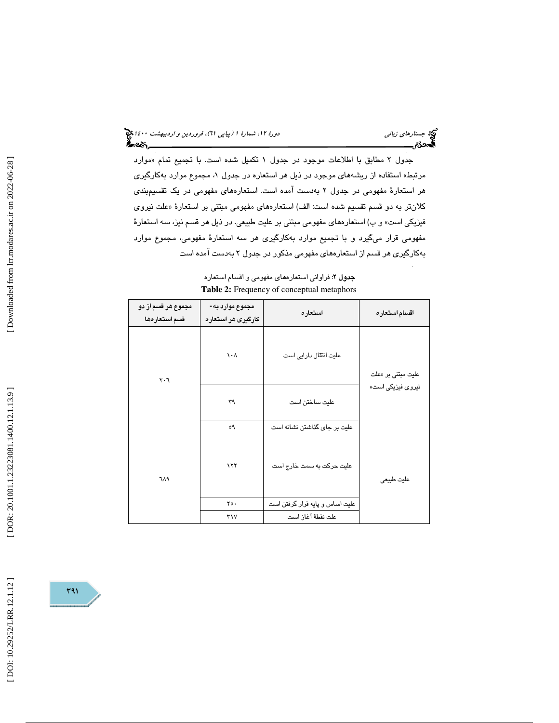(پياپي 61)، فروردين و ارديبهشت 1400 جستارهاي زباني دورة ،12 شمارة 1

جدول ۲ مطابق با اطلاعات موجود در جدول ۱ تكميل شده است. با تجميع تمام «موارد مرتبط» استفاده از ریشههای موجود در ذیل هر استعاره در جدول ۱، مجموع موارد بهکارگیری هر استعارة مفهومي در جدول ٢ بهدست آمده است. استعارههاي مفهومي در يک تقسيمبندي كلانتر به دو قسم تقسيم شده است: الف) استعارههاي مفهومي مبتني بر استعارهٔ «علت نيروي فيزيكي است» و ب) استعارههاي مفهومي مبتني بر عليت طبيعي. در ذيل هر قسم نيز، سه استعارة مفهومي قرار ميگيرد و با تجميع موارد بهكارگيري هر سه استعارة مفهومي، مجموع موارد بهكارگيري هر قسم از استعارههاي مفهومي مذكور در جدول به 2 دست آمده است

| مجموع هر قسم از دو<br>قسم استعارهها | مجموع موارد به-<br>کارگیری هر استعاره | استعاره                         | اقسام استعاره             |
|-------------------------------------|---------------------------------------|---------------------------------|---------------------------|
| $\mathsf{r} \cdot \mathsf{r}$       | $\lambda \cdot \Lambda$               | علیت انتقال دارایی است          | علیت مبتنی بر «علت        |
|                                     | ٣٩                                    | عليت ساختن است                  | نیرو <i>ی</i> فیزیکی است» |
|                                     | ٥٩                                    | علیت بر جای گذاشتن نشانه است    |                           |
| ٦Λ٩                                 | ۱۲۲                                   | علیت حرکت به سمت خارج است       | عليت طبيعي                |
|                                     | $Y \circ \cdot$                       | علیت اساس و پایه قرار گرفتن است |                           |
|                                     | $\mathsf{r}_\mathsf{V}$               | علت نقطهٔ آغاز است              |                           |

جدول ٢: فراواني استعارههاي مفهومي و اقسام استعاره **Table 2:** Frequency of conceptual metaphors

.

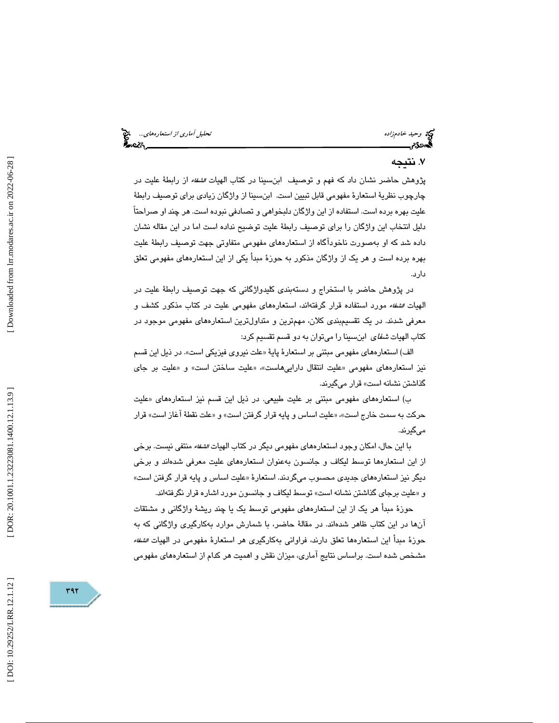#### . نتيجه 7

پژوهش حاضر نشان داد كه فهم و توصيف ابنسينا در كتاب الهيات *الشفاء* از رابطهٔ عليت در چارچوب نظرية استعارة مفهومي قابل تبيين است. ابنسينا از واژگان زيادي براي توصيف رابطة عليت بهره برده است. استفاده از اين واژگان دلبخواهي و تصادفي نبوده است. هر چند او صراحتاً دليل انتخاب اين واژگان را براي توصيف رابطة عليت توضيح نداده است اما در اين مقاله نشان داده شد كه او بهصورت ناخودآگاه از استعارههاي مفهومي متفاوتي جهت توصيف رابطة عليت بهره برده است و هر يك از واژگان مذكور به حوزة مبدأ يكي از اين استعارههاي مفهومي تعلق دارد.

در پژوهش حاضر با استخراج و دستهبندي كليدواژگاني كه جهت توصيف رابطة عليت در الهيات الشفاء مورد استفاده قرار گرفتهاند، استعارههاي مفهومي عليت در كتاب مذكور كشف و معرفي شدند. در يك تقسيمبندي كلان، مهمترين و متداولترين استعارههاي مفهومي موجود در كتاب الهيات شفاي ابنسينا را ميتوان به دو قسم تقسيم كرد:

الف) استعارههاي مفهومي مبتني بر استعارهٔ پايهٔ «علت نيروي فيزيكي است». در ذيل اين قسم نيز استعارههاي مفهومي «عليت انتقال داراييهاست»، «عليت ساختن است» و «عليت بر جاي گذاشتن نشانه است» قرار ميگيرند.

ب) استعارههاي مفهومي مبتني بر عليت طبيعي. در ذيل اين قسم نيز استعارههاي «عليت حركت به سمت خارج است «، » عليت اساس و پايه قرار گرفتن است «و » علت نقطة آغاز است» قرار ميگيرند.

با اين حال، امكان وجود استعارههاي مفهومي ديگر در كتاب الهيات *الشفاء* منتفي نيست. برخي از اين استعارهها توسط ليكاف و جانسون بهعنوان استعارههاي عليت معرفي شدهاند و برخي ديگر نيز استعارههاي جديدي محسوب ميگردند. استعارهٔ «عليت اساس و پايه قرار گرفتن است» «و عليت برجاي گذاشتن نشانه است» توسط ليكاف و جانسون مورد اشاره قرار نگرفتهاند.

حوزة مبدأ هر يك از اين استعارههاي مفهومي توسط يك يا چند ريشة واژگاني و مشتقات آنها در اين كتاب ظاهر شدهاند. در مقالة حاضر، با شمارش موارد بهكارگيري واژگاني كه به حوزة مبدأ اين استعارهها تعلق دارند، فراواني بهكارگيري هر استعارة مفهومي در الهيات الشفاء مشخص شده است. براساس نتايج آماري، ميزان نقش و اهميت هر كدام از استعار ههاي مفهومي

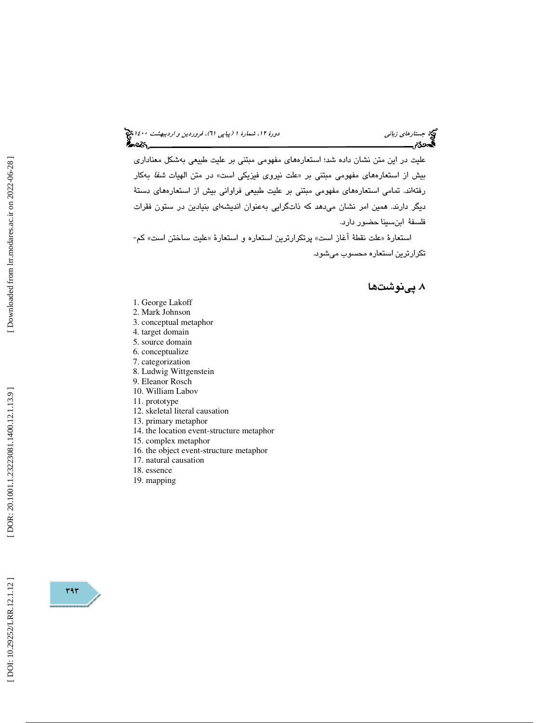عليت در اين متن نشان داده شد؛ استعارههاي مفهومي مبتني بر عليت طبيعي بهشكل معناداري بيش از استعارههاي مفهومي مبتني بر «علت نيروي فيزيكي است» در متن الهيات *شفا* بهكار رفتهاند. تمامي استعارههاي مفهومي مبتني بر عليت طبيعي فراواني بيش از استعارههاي دستة ديگر دارند. همين امر نشان ميدهد كه ذاتگرايي بهعنوان انديشهاي بنيادين در ستون فقرات فلسفة ابنسينا حضور دارد.

استعارهٔ «علت نقطهٔ آغاز است» پرتكرارترين استعاره و استعارهٔ «عليت ساختن است» كم-تكرارترين استعاره محسوب ميشود.

۸. پینوشتها

- 1. George Lakoff
- 2. Mark Johnson
- 3. conceptual metaphor
- 4. target domain
- 5. source domain
- 6. conceptualize
- 7. categorization
- 8. Ludwig Wittgenstein
- 9. Eleanor Rosch
- 10. William Labov
- 11. prototype
- 12. skeletal literal causation
- 13. primary metaphor
- 14. the location event-structure metaphor
- 15. complex metaphor
- 16. the object event-structure metaphor
- 17. natural causation
- 18. essence
- 19. mapping

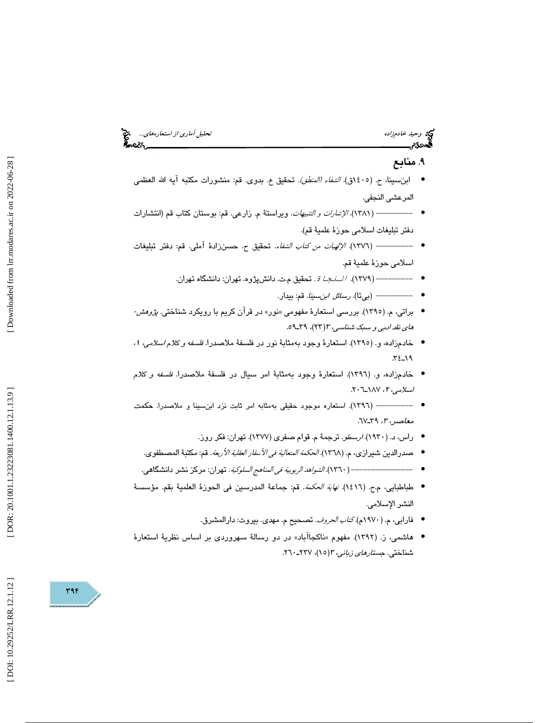## وكي وحيد خادم زاده تحليل آماري *از استعارههاي...*... وحيد خادم زاده تحليل آماري *از استعارههاي...*... وحيد المتح<br>**تحمد دي المتحد المتحد المتحد المتحد المتحد المتحد المتحد المتحد المتحد المتحد المتحد المتحد المتحد المتحد ا** ابنِسبينا، ح. (١٤٠٥ق). *الشفاء (المنطق)*. تحقيق ع. بدوى. قم: منشورات مكتبه أيه الله العظمى المرعشي النجفي. • ----------- (١٣٨١). *الإشارات و التنبيهات*. ويراستة م. زارعي. قم: بوستان كتاب قم (انتشارات دفتر تبليغات اسلامي حوزة علمية قم). --------- ( 1376). الإلهيات من كتاب الشفاء. تحقيق ح. حسن ةزاد آملي. قم: دفتر تبليغات • اسلامي حوزهٔ علميهٔ قم.

- تحقيق م.ت. دانشپژوه. تهران: دانشگاه تهران. --------- ( 1379). اة.
	- --------- (بيتا). رسائل ابنسينا. قم: بيدار. •

۹. منابع

•

- براتي، م. (١٣٩٥). بررسي استعارهٔ مفهومي «نور» در قرآن كريم با رويكرد شناختي. *پژوهش-*هاي نقد *ادبي و سبک شناسي، ۳(*۲۳)، ۳۹ــ۹۹.
- خادمزاده، و. (١٣٩٥). استعارهٔ وجود بهمثابهٔ نور در فلسفهٔ ملاصدرا. *فلسفه و كلام اسلامي، ١،* ـ19 34.
- خادمزاده، و. (١٣٩٦). استعارة وجود بهمثابة امر سيال در فلسفة ملاصدرا. *فلسفه و كلام اسلامی*، ۲، ۱۸۷–۲۰۲.
- --------- ( 1396 .) استعاره موجود حقيقي بهمثابه امر ثابت نزد ابنسينا و ملاصدرا. حكمت معاصر، ،3 ـ39 67.
	- راس، د. (١٩٣٠). *ارسطو*. ترجمهٔ م. قوام صفری (١٣٧٧). تهران: فکر روز.
	- صدرالدين شدرازي، م. (١٣٦٨). *الحكمة المتعالية في الأسفار العقلية الأربعة*. قم: مكتبة المصطفوي.
- ---- ----------- ( 1360). الشواهد الربوبية في المناهج السلوكية. تهران: مركز نشر دانشگاهي. •
- طباطبايي، م.ح. ( 1416). نهاية الحكمة. قم: جماعة المدرسين في الحوزة العلمية بقم. مؤسسة النشر الإسلامي.
	- فارابي، م. (١٩٧٠م)*.كتاب الحروف*. تصحيح م. مهدي. بيروت: دارالمشرق.
- هاشمي، ز. (١٣٩٢). مفهوم «ناكجاآباد» در دو رسالهٔ سهروردي بر اساس نظريهٔ استعارهٔ شناختي. ج*ستارهاي زباني، ٣*(١٥)، ٢٢٧-٢٦٠.

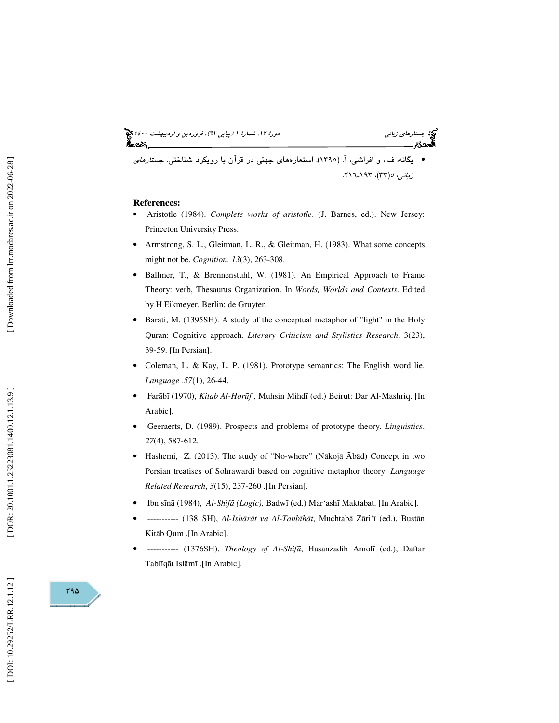### (پياپي 61)، فروردين و ارديبهشت 1400 جستارهاي زباني دورة ،12 شمارة 1

يگانه، ف،. و افراشي، (آ. 1395). استعارههاي جهتي در قرآن با رويكرد شناختي . جستارهاي • زب*انی، ه(*۳۳)، ۱۹۳–۲۱٦.

#### **References:**

- Aristotle (1984). *Complete works of aristotle*. (J. Barnes, ed.). New Jersey: Princeton University Press.
- Armstrong, S. L., Gleitman, L. R., & Gleitman, H. (1983). What some concepts might not be. *Cognition*. *13*(3), 263-308.
- Ballmer, T., & Brennenstuhl, W. (1981). An Empirical Approach to Frame Theory: verb, Thesaurus Organization. In *Words, Worlds and Contexts*. Edited by H Eikmeyer. Berlin: de Gruyter.
- Barati, M. (1395SH). A study of the conceptual metaphor of "light" in the Holy Quran: Cognitive approach. *Literary Criticism and Stylistics Research*, 3(23), 39-59. [In Persian].
- Coleman, L. & Kay, L. P. (1981). Prototype semantics: The English word lie. *Language* .*57*(1), 26-44.
- Far ā b ī (1970), *Kitab Al-Hor* ū*f ,* Muhsin Mihdī (ed.) Beirut: Dar Al-Mashriq. [In Arabic].
- Geeraerts, D. (1989). Prospects and problems of prototype theory. *Linguistics*. *27*(4), 587-612.
- Hashemi, Z. (2013). The study of "No-where" (N ākoj ā Ā b ād) Concept in two Persian treatises of Sohrawardi based on cognitive metaphor theory. *Language Related Research*, *3*(15), 237-260 .[In Persian] .
- Ibn s ī n ā (1984), *Al-Shif*ā *(Logic),* Badw ī (ed.) Mar'ashī Maktabat. [In Arabic].
- ----------- (1381SH), *Al-Ish* ā *r* ā*t va Al-Tanb* ī*h* ā *t*, Muchtab ā Z āri' ī (ed.), Bust ān Kit āb Qum .[In Arabic].
- ----------- (1376SH), *Theology of Al-Shif*ā, Hasanzadih Amol ī (ed.), Daftar Tabl ī q āt Isl ā mī .[In Arabic].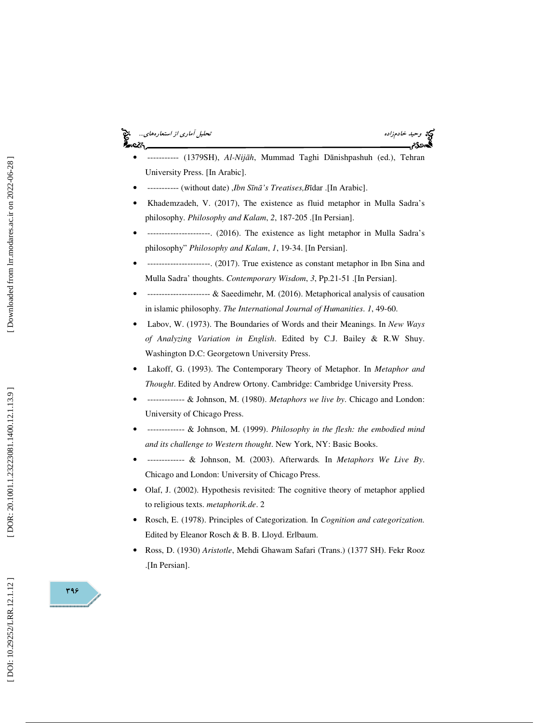## وحيد خادمزاده تحليل آماري *از استعارههاي...*... هي التحليل آماري *از استعارههاي...*<br>**تحصدون التحليل التحليل التحليل التحليل التحليل التحليل التحليل آماري از استعارههاي...**<br>**تحصدون التحليل التحليل التحليل التحليل التحليل ا**



- ----------- (1379SH), *Al-Nij* ā *h*, Mummad Taghi D ānishpashuh (ed.), Tehran University Press. [In Arabic].
- ----------- (without date) ,*Ibn S* ī*n* ā*'s Treatises,B* īdar .[In Arabic].
- Khademzadeh, V. (2017), The existence as fluid metaphor in Mulla Sadra's philosophy. *Philosophy and Kalam*, *2*, 187-205 .[In Persian].
- ----------------------. (2016). The existence as light metaphor in Mulla Sadra's philosophy" *Philosophy and Kalam* , *1*, 19-34. [In Persian].
- ----------------------. (2017). True existence as constant metaphor in Ibn Sina and Mulla Sadra' thoughts. *Contemporary Wisdom*, *3*, Pp.21-51 .[In Persian].
- ---------------------- & Saeedimehr, M. (2016). Metaphorical analysis of causation in islamic philosophy. *The International Journal of Humanities*. *1*, 49-60.
- Labov, W. (1973). The Boundaries of Words and their Meanings. In *New Ways of Analyzing Variation in English*. Edited by C.J. Bailey & R.W Shuy. Washington D.C: Georgetown University Press.
- Lakoff, G. (1993). The Contemporary Theory of Metaphor. In *Metaphor and Thought*. Edited by Andrew Ortony. Cambridge: Cambridge University Press.
- ------------- & Johnson, M. (1980). *Metaphors we live by*. Chicago and London: University of Chicago Press.
- ------------- & Johnson, M. (1999). *Philosophy in the flesh: the embodied mind and its challenge to Western thought*. New York, NY: Basic Books.
- ------------- & Johnson, M. (2003). Afterwards*.* In *Metaphors We Live By*. Chicago and London: University of Chicago Press.
- Olaf, J. (2002). Hypothesis revisited: The cognitive theory of metaphor applied to religious texts. *metaphorik.de*. 2
- Rosch, E. (1978). Principles of Categorization. In *Cognition and categorization.* Edited by Eleanor Rosch & B. B. Lloyd. Erlbaum.
- Ross, D. (1930) *Aristotle*, Mehdi Ghawam Safari (Trans.) (1377 SH). Fekr Rooz .[In Persian].